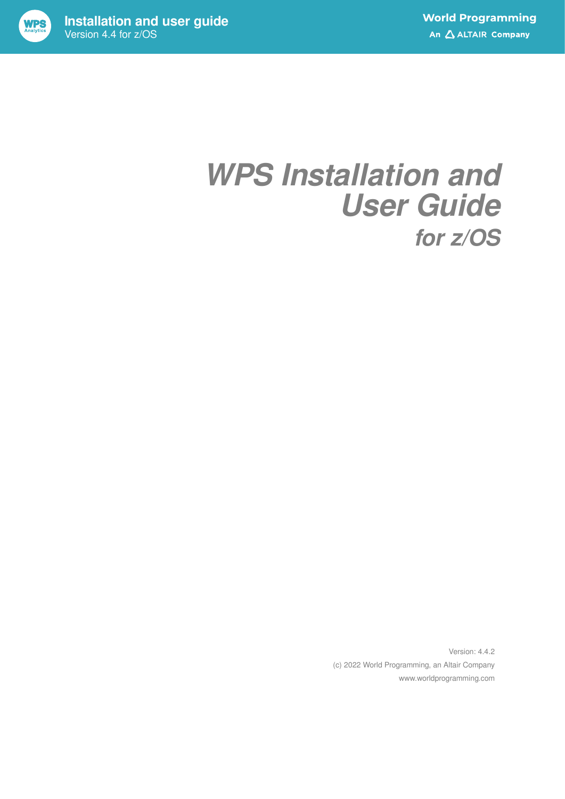

Version 4.4 for z/OS

# *WPS Installation and User Guide for z/OS*

Version: 4.4.2 (c) 2022 World Programming, an Altair Company www.worldprogramming.com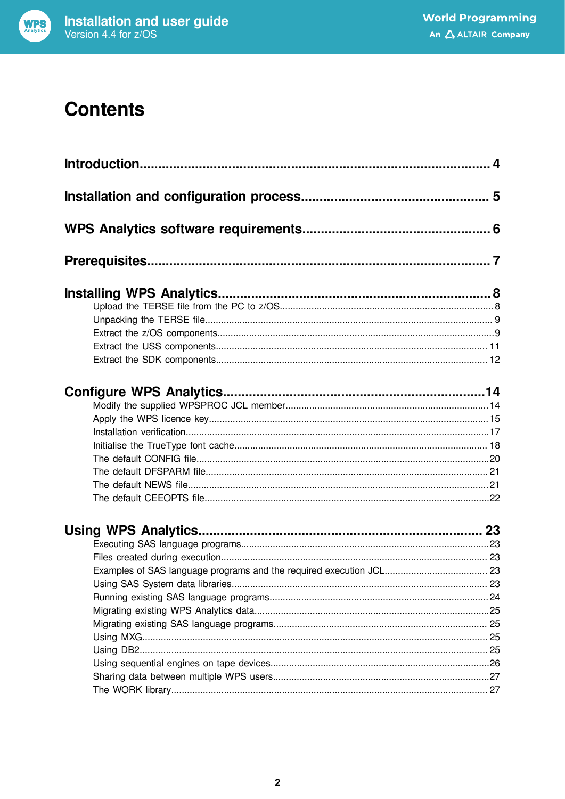

### **Contents**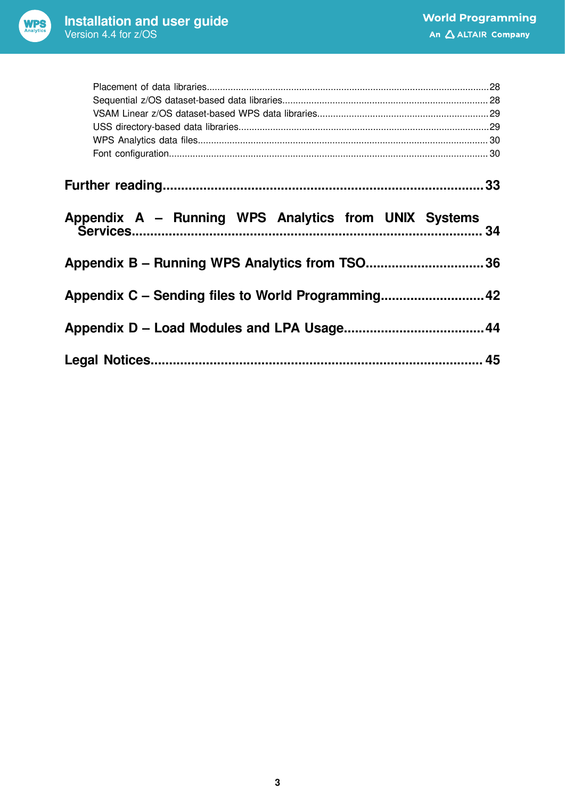

| Appendix A – Running WPS Analytics from UNIX Systems | 34 |
|------------------------------------------------------|----|
| Appendix B – Running WPS Analytics from TSO36        |    |
|                                                      |    |
|                                                      |    |
|                                                      |    |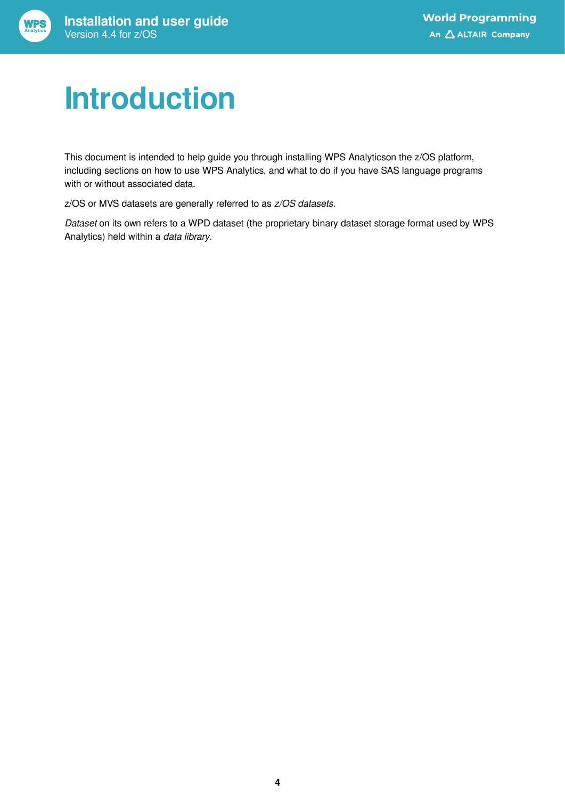

# <span id="page-3-0"></span>**Introduction**

This document is intended to help guide you through installing WPS Analyticson the z/OS platform, including sections on how to use WPS Analytics, and what to do if you have SAS language programs with or without associated data.

z/OS or MVS datasets are generally referred to as *z/OS datasets*.

*Dataset* on its own refers to a WPD dataset (the proprietary binary dataset storage format used by WPS Analytics) held within a *data library*.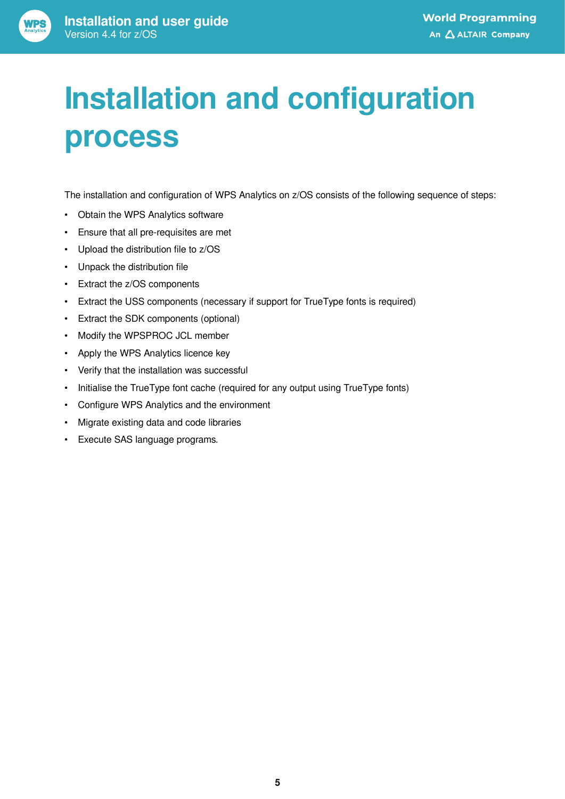# <span id="page-4-0"></span>**Installation and configuration process**

The installation and configuration of WPS Analytics on z/OS consists of the following sequence of steps:

- Obtain the WPS Analytics software
- Ensure that all pre-requisites are met
- Upload the distribution file to z/OS
- Unpack the distribution file
- Extract the z/OS components
- Extract the USS components (necessary if support for TrueType fonts is required)
- Extract the SDK components (optional)
- Modify the WPSPROC JCL member
- Apply the WPS Analytics licence key
- Verify that the installation was successful
- Initialise the TrueType font cache (required for any output using TrueType fonts)
- Configure WPS Analytics and the environment
- Migrate existing data and code libraries
- Execute SAS language programs.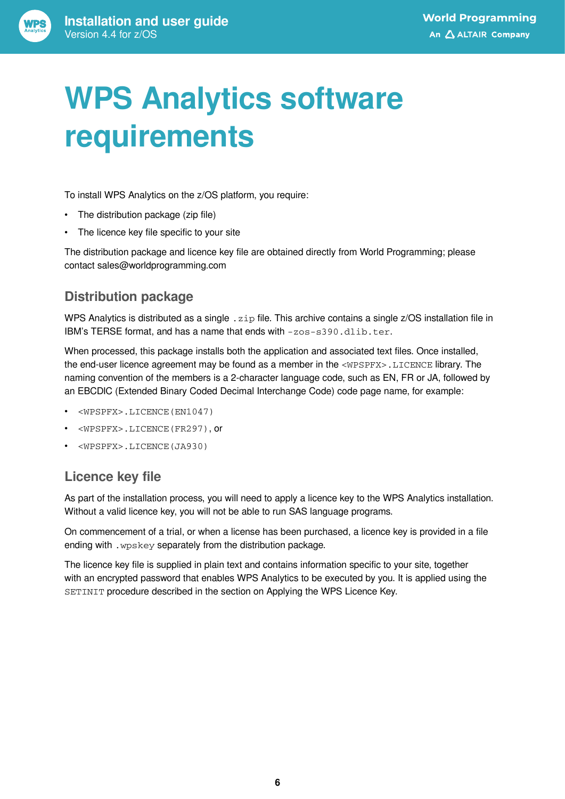<span id="page-5-0"></span>

To install WPS Analytics on the z/OS platform, you require:

- The distribution package (zip file)
- The licence key file specific to your site

The distribution package and licence key file are obtained directly from World Programming; please contact sales@worldprogramming.com

### **Distribution package**

WPS Analytics is distributed as a single . zip file. This archive contains a single z/OS installation file in IBM's TERSE format, and has a name that ends with -zos-s390.dlib.ter.

When processed, this package installs both the application and associated text files. Once installed, the end-user licence agreement may be found as a member in the <WPSPFX>.LICENCE library. The naming convention of the members is a 2-character language code, such as EN, FR or JA, followed by an EBCDIC (Extended Binary Coded Decimal Interchange Code) code page name, for example:

- <WPSPFX>.LICENCE(EN1047)
- <WPSPFX>.LICENCE(FR297), or
- <WPSPFX>.LICENCE(JA930)

### **Licence key file**

As part of the installation process, you will need to apply a licence key to the WPS Analytics installation. Without a valid licence key, you will not be able to run SAS language programs.

On commencement of a trial, or when a license has been purchased, a licence key is provided in a file ending with .wpskey separately from the distribution package.

The licence key file is supplied in plain text and contains information specific to your site, together with an encrypted password that enables WPS Analytics to be executed by you. It is applied using the SETINIT procedure described in the section on Applying the WPS Licence Key.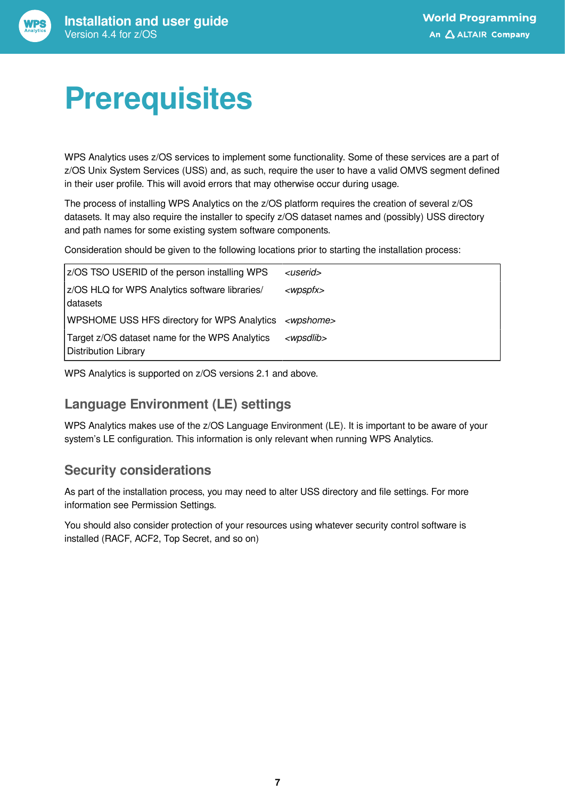# <span id="page-6-0"></span>**Prerequisites**

WPS Analytics uses z/OS services to implement some functionality. Some of these services are a part of z/OS Unix System Services (USS) and, as such, require the user to have a valid OMVS segment defined in their user profile. This will avoid errors that may otherwise occur during usage.

The process of installing WPS Analytics on the z/OS platform requires the creation of several z/OS datasets. It may also require the installer to specify z/OS dataset names and (possibly) USS directory and path names for some existing system software components.

Consideration should be given to the following locations prior to starting the installation process:

| z/OS TSO USERID of the person installing WPS                           | <userid></userid>   |
|------------------------------------------------------------------------|---------------------|
| z/OS HLQ for WPS Analytics software libraries/<br> datasets            | <wpspfx></wpspfx>   |
| WPSHOME USS HFS directory for WPS Analytics <wpshome></wpshome>        |                     |
| Target z/OS dataset name for the WPS Analytics<br>Distribution Library | <wpsdlib></wpsdlib> |

WPS Analytics is supported on z/OS versions 2.1 and above.

#### **Language Environment (LE) settings**

WPS Analytics makes use of the z/OS Language Environment (LE). It is important to be aware of your system's LE configuration. This information is only relevant when running WPS Analytics.

#### **Security considerations**

As part of the installation process, you may need to alter USS directory and file settings. For more information see Permission Settings.

You should also consider protection of your resources using whatever security control software is installed (RACF, ACF2, Top Secret, and so on)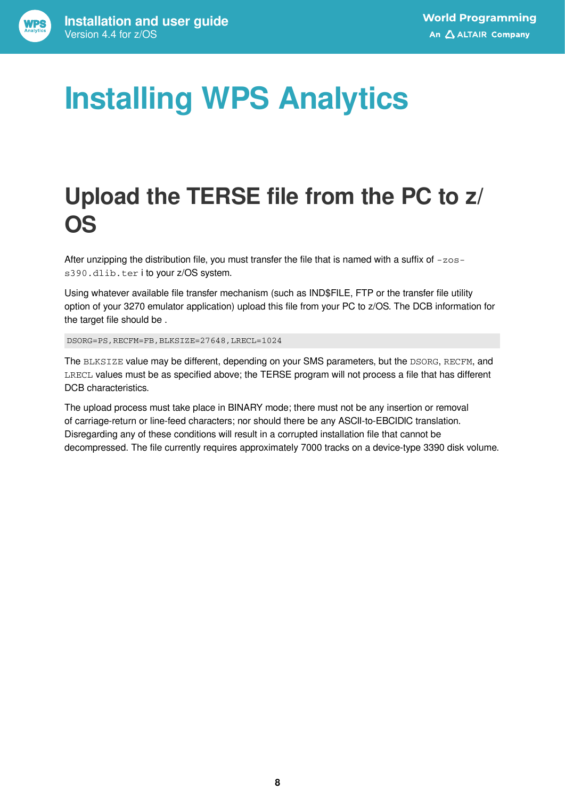# <span id="page-7-0"></span>**Installing WPS Analytics**

## <span id="page-7-1"></span>**Upload the TERSE file from the PC to z/ OS**

After unzipping the distribution file, you must transfer the file that is named with a suffix of  $-zos$ s390.dlib.ter i to your z/OS system.

Using whatever available file transfer mechanism (such as IND\$FILE, FTP or the transfer file utility option of your 3270 emulator application) upload this file from your PC to z/OS. The DCB information for the target file should be .

DSORG=PS,RECFM=FB,BLKSIZE=27648,LRECL=1024

The BLKSIZE value may be different, depending on your SMS parameters, but the DSORG, RECFM, and LRECL values must be as specified above; the TERSE program will not process a file that has different DCB characteristics.

The upload process must take place in BINARY mode; there must not be any insertion or removal of carriage-return or line-feed characters; nor should there be any ASCII-to-EBCIDIC translation. Disregarding any of these conditions will result in a corrupted installation file that cannot be decompressed. The file currently requires approximately 7000 tracks on a device-type 3390 disk volume.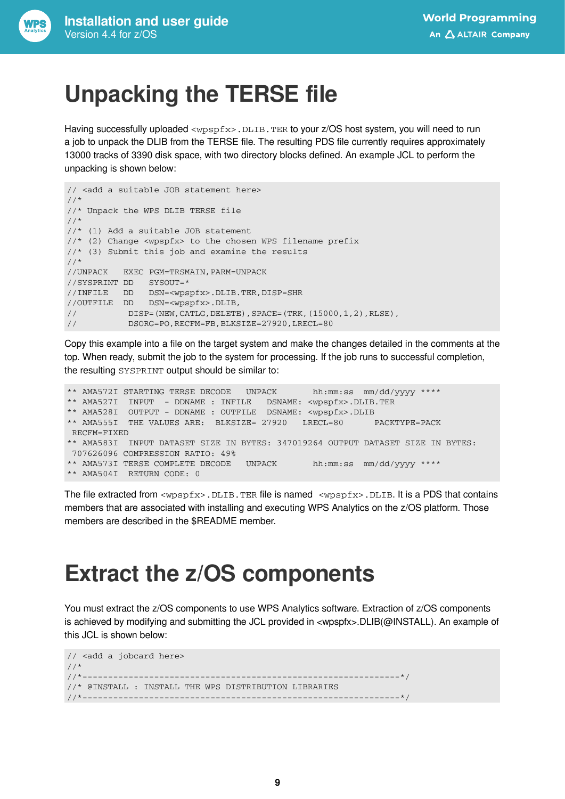## <span id="page-8-0"></span>**Unpacking the TERSE file**

Having successfully uploaded <wpspfx>.DLIB.TER to your z/OS host system, you will need to run a job to unpack the DLIB from the TERSE file. The resulting PDS file currently requires approximately 13000 tracks of 3390 disk space, with two directory blocks defined. An example JCL to perform the unpacking is shown below:

```
// <add a suitable JOB statement here>
//*
//* Unpack the WPS DLIB TERSE file
//*
//* (1) Add a suitable JOB statement
//* (2) Change <wpspfx> to the chosen WPS filename prefix
//* (3) Submit this job and examine the results
//*
//UNPACK EXEC PGM=TRSMAIN,PARM=UNPACK
//SYSPRINT DD SYSOUT=*
//INFILE DD DSN=<wpspfx>.DLIB.TER,DISP=SHR
//OUTFILE DD DSN=<wpspfx>.DLIB,
// DISP=(NEW,CATLG,DELETE),SPACE=(TRK,(15000,1,2),RLSE),
// DSORG=PO,RECFM=FB,BLKSIZE=27920,LRECL=80
```
Copy this example into a file on the target system and make the changes detailed in the comments at the top. When ready, submit the job to the system for processing. If the job runs to successful completion, the resulting SYSPRINT output should be similar to:

```
** AMA572I STARTING TERSE DECODE UNPACK hh:mm:ss mm/dd/yyyy ****
** AMA527I INPUT - DDNAME : INFILE DSNAME: <wpspfx>.DLIB.TER
** AMA528I OUTPUT - DDNAME : OUTFILE DSNAME: <wpspfx>.DLIB
** AMA555I THE VALUES ARE: BLKSIZE= 27920 LRECL=80 PACKTYPE=PACK 
 RECFM=FIXED
** AMA583I INPUT DATASET SIZE IN BYTES: 347019264 OUTPUT DATASET SIZE IN BYTES:
 707626096 COMPRESSION RATIO: 49%
** AMA573I TERSE COMPLETE DECODE UNPACK hh:mm:ss mm/dd/yyyy ****
** AMA504I RETURN CODE: 0
```
The file extracted from  $\langle w_{\text{DSDfx}}\rangle$ . DLIB. TER file is named  $\langle w_{\text{DSDfx}}\rangle$ . DLIB. It is a PDS that contains members that are associated with installing and executing WPS Analytics on the z/OS platform. Those members are described in the \$README member.

### <span id="page-8-1"></span>**Extract the z/OS components**

You must extract the z/OS components to use WPS Analytics software. Extraction of z/OS components is achieved by modifying and submitting the JCL provided in <wpspfx>.DLIB(@INSTALL). An example of this JCL is shown below:

```
// <add a jobcard here>
1/*
//*--------------------------------------------------------------*/
//* @INSTALL : INSTALL THE WPS DISTRIBUTION LIBRARIES
//*--------------------------------------------------------------*/
```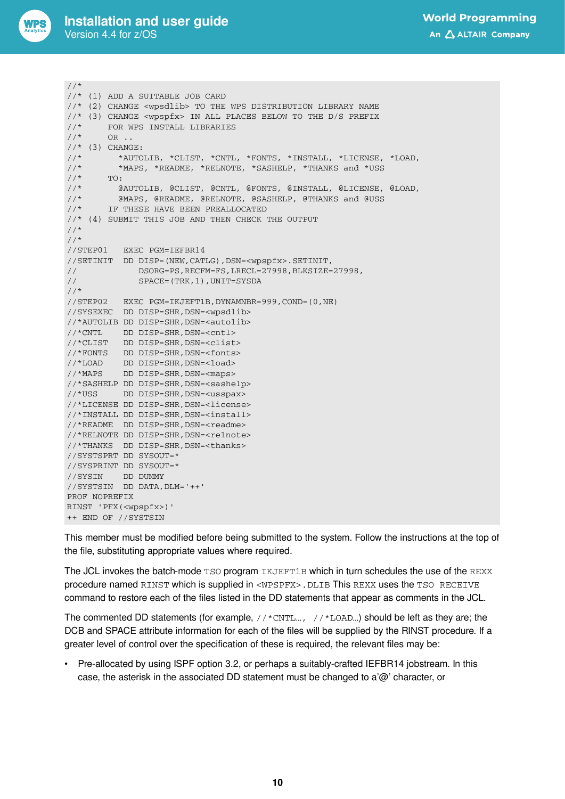

```
//*
//* (1) ADD A SUITABLE JOB CARD
//* (2) CHANGE <wpsdlib> TO THE WPS DISTRIBUTION LIBRARY NAME
//* (3) CHANGE <wpspfx> IN ALL PLACES BELOW TO THE D/S PREFIX //* FOR WPS INSTALL LIBRARIES
//* FOR WPS INSTALL LIBRARIES //* OR ..
        OR ..
\frac{7}{*} (3) CHANGE:<br>\frac{7}{*} *AIITO
       \starAUTOLIB, \starCLIST, \starCNTL, \starFONTS, \star INSTALL, \starLICENSE, \starLOAD,
//* *MAPS, *README, *RELNOTE, *SASHELP, *THANKS and *USS
\frac{1}{1}//* TO:<br>\frac{1}{1} (e)
//* @AUTOLIB, @CLIST, @CNTL, @FONTS, @INSTALL, @LICENSE, @LOAD,
         @MAPS, @README, @RELNOTE, @SASHELP, @THANKS and @USS
//* IF THESE HAVE BEEN PREALLOCATED
//* (4) SUBMIT THIS JOB AND THEN CHECK THE OUTPUT
//*
//*
//STEP01 EXEC PGM=IEFBR14
//SETINIT DD DISP=(NEW,CATLG),DSN=<wpspfx>.SETINIT,
// DSORG=PS,RECFM=FS,LRECL=27998,BLKSIZE=27998,
// SPACE=(TRK,1),UNIT=SYSDA
//*
//STEP02 EXEC PGM=IKJEFT1B,DYNAMNBR=999,COND=(0,NE)
//SYSEXEC DD DISP=SHR,DSN=<wpsdlib>
//*AUTOLIB DD DISP=SHR,DSN=<autolib>
//*CNTL DD DISP=SHR,DSN=<cntl>
//*CLIST DD DISP=SHR,DSN=<clist>
//*FONTS DD DISP=SHR,DSN=<fonts>
//*LOAD DD DISP=SHR,DSN=<load>
//*MAPS DD DISP=SHR,DSN=<maps>
//*SASHELP DD DISP=SHR, DSN=<sashelp>
//*USS DD DISP=SHR,DSN=<usspax>
//*LICENSE DD DISP=SHR,DSN=<license>
//*INSTALL DD DISP=SHR,DSN=<install>
//*README  DD DISP=SHR, DSN=<readme>
//*RELNOTE DD DISP=SHR,DSN=<relnote>
//*THANKS DD DISP=SHR,DSN=<thanks>
//SYSTSPRT DD SYSOUT=*
//SYSPRINT DD SYSOUT=*
//SYSIN DD DUMMY
//SYSTSIN DD DATA,DLM='++'
PROF NOPREFIX
RINST 'PFX(<wpspfx>)'
++ END OF //SYSTSIN
```
This member must be modified before being submitted to the system. Follow the instructions at the top of the file, substituting appropriate values where required.

The JCL invokes the batch-mode TSO program IKJEFT1B which in turn schedules the use of the REXX procedure named RINST which is supplied in <WPSPFX>.DLIB This REXX uses the TSO RECEIVE command to restore each of the files listed in the DD statements that appear as comments in the JCL.

The commented DD statements (for example,  $//*CNTL...$ ,  $//*LOAD...$ ) should be left as they are; the DCB and SPACE attribute information for each of the files will be supplied by the RINST procedure. If a greater level of control over the specification of these is required, the relevant files may be:

• Pre-allocated by using ISPF option 3.2, or perhaps a suitably-crafted IEFBR14 jobstream. In this case, the asterisk in the associated DD statement must be changed to a'@' character, or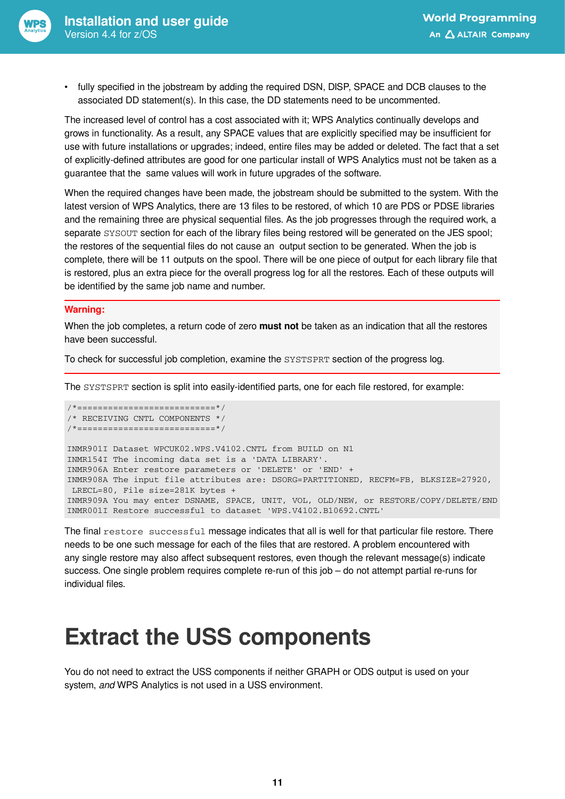

• fully specified in the jobstream by adding the required DSN, DISP, SPACE and DCB clauses to the associated DD statement(s). In this case, the DD statements need to be uncommented.

The increased level of control has a cost associated with it; WPS Analytics continually develops and grows in functionality. As a result, any SPACE values that are explicitly specified may be insufficient for use with future installations or upgrades; indeed, entire files may be added or deleted. The fact that a set of explicitly-defined attributes are good for one particular install of WPS Analytics must not be taken as a guarantee that the same values will work in future upgrades of the software.

When the required changes have been made, the jobstream should be submitted to the system. With the latest version of WPS Analytics, there are 13 files to be restored, of which 10 are PDS or PDSE libraries and the remaining three are physical sequential files. As the job progresses through the required work, a separate SYSOUT section for each of the library files being restored will be generated on the JES spool; the restores of the sequential files do not cause an output section to be generated. When the job is complete, there will be 11 outputs on the spool. There will be one piece of output for each library file that is restored, plus an extra piece for the overall progress log for all the restores. Each of these outputs will be identified by the same job name and number.

#### **Warning:**

When the job completes, a return code of zero **must not** be taken as an indication that all the restores have been successful.

To check for successful job completion, examine the SYSTSPRT section of the progress log.

The SYSTSPRT section is split into easily-identified parts, one for each file restored, for example:

```
/*===========================*/
/* RECEIVING CNTL COMPONENTS */
/*===========================*/
INMR901I Dataset WPCUK02.WPS.V4102.CNTL from BUILD on N1
INMR154I The incoming data set is a 'DATA LIBRARY'.
INMR906A Enter restore parameters or 'DELETE' or 'END' +
INMR908A The input file attributes are: DSORG=PARTITIONED, RECFM=FB, BLKSIZE=27920,
 LRECL=80, File size=281K bytes +
INMR909A You may enter DSNAME, SPACE, UNIT, VOL, OLD/NEW, or RESTORE/COPY/DELETE/END
INMR001I Restore successful to dataset 'WPS.V4102.B10692.CNTL'
```
The final restore successful message indicates that all is well for that particular file restore. There needs to be one such message for each of the files that are restored. A problem encountered with any single restore may also affect subsequent restores, even though the relevant message(s) indicate success. One single problem requires complete re-run of this job – do not attempt partial re-runs for individual files.

### <span id="page-10-0"></span>**Extract the USS components**

You do not need to extract the USS components if neither GRAPH or ODS output is used on your system, *and* WPS Analytics is not used in a USS environment.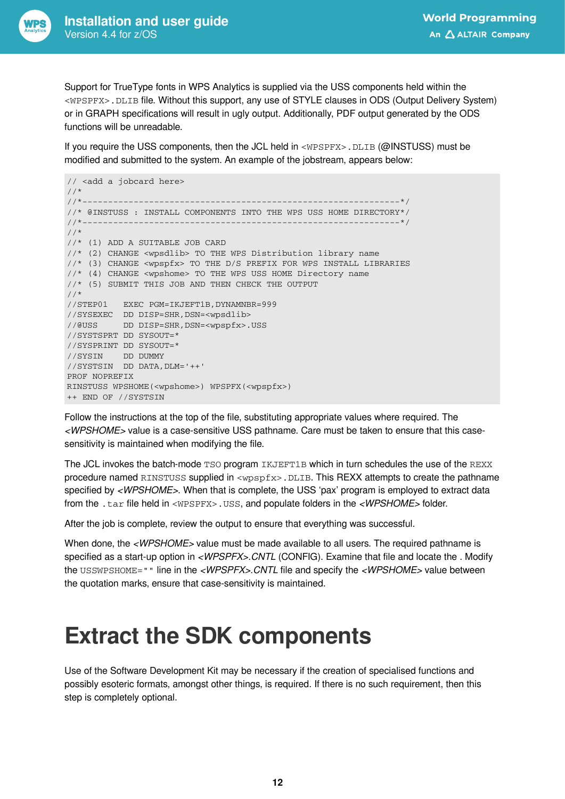

Support for TrueType fonts in WPS Analytics is supplied via the USS components held within the <WPSPFX>.DLIB file. Without this support, any use of STYLE clauses in ODS (Output Delivery System) or in GRAPH specifications will result in ugly output. Additionally, PDF output generated by the ODS functions will be unreadable.

If you require the USS components, then the JCL held in <WPSPFX>.DLIB (@INSTUSS) must be modified and submitted to the system. An example of the jobstream, appears below:

```
// <add a jobcard here>
//^*<br>//*__
//*--------------------------------------------------------------*/
//* @INSTUSS : INSTALL COMPONENTS INTO THE WPS USS HOME DIRECTORY*/
//*--------------------------------------------------------------*/
//*
//* (1) ADD A SUITABLE JOB CARD
//* (2) CHANGE <wpsdlib> TO THE WPS Distribution library name
//* (3) CHANGE <wpspfx> TO THE D/S PREFIX FOR WPS INSTALL LIBRARIES
//* (4) CHANGE <wpshome> TO THE WPS USS HOME Directory name
//* (5) SUBMIT THIS JOB AND THEN CHECK THE OUTPUT
//*
//STEP01 EXEC PGM=IKJEFT1B,DYNAMNBR=999
//SYSEXEC DD DISP=SHR,DSN=<wpsdlib>
//@USS DD DISP=SHR,DSN=<wpspfx>.USS
//SYSTSPRT DD SYSOUT=*
//SYSPRINT DD SYSOUT=*
//SYSIN DD DUMMY
//SYSTSIN DD DATA,DLM='++'
PROF NOPREFIX
RINSTUSS WPSHOME(<wpshome>) WPSPFX(<wpspfx>)
++ END OF //SYSTSIN
```
Follow the instructions at the top of the file, substituting appropriate values where required. The *<WPSHOME>* value is a case-sensitive USS pathname. Care must be taken to ensure that this casesensitivity is maintained when modifying the file.

The JCL invokes the batch-mode TSO program IKJEFT1B which in turn schedules the use of the REXX procedure named RINSTUSS supplied in <wpspfx>.DLIB. This REXX attempts to create the pathname specified by *<WPSHOME>*. When that is complete, the USS 'pax' program is employed to extract data from the .tar file held in <WPSPFX>.USS, and populate folders in the *<WPSHOME>* folder.

After the job is complete, review the output to ensure that everything was successful.

When done, the <WPSHOME> value must be made available to all users. The required pathname is specified as a start-up option in *<WPSPFX>.CNTL* (CONFIG). Examine that file and locate the . Modify the USSWPSHOME="" line in the *<WPSPFX>.CNTL* file and specify the *<WPSHOME>* value between the quotation marks, ensure that case-sensitivity is maintained.

### <span id="page-11-0"></span>**Extract the SDK components**

Use of the Software Development Kit may be necessary if the creation of specialised functions and possibly esoteric formats, amongst other things, is required. If there is no such requirement, then this step is completely optional.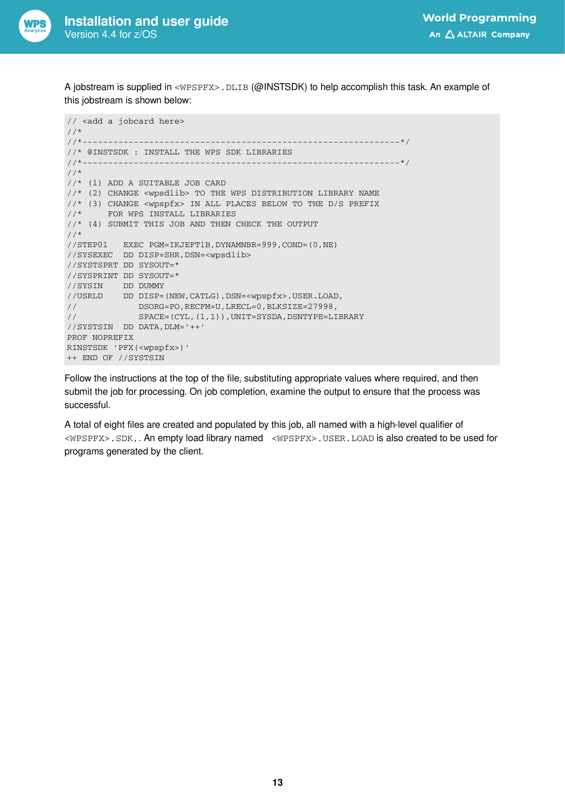

A jobstream is supplied in <WPSPFX>.DLIB (@INSTSDK) to help accomplish this task. An example of this jobstream is shown below:

```
// <add a jobcard here>
//*<br>//*------------
                           //*--------------------------------------------------------------*/
//* @INSTSDK : INSTALL THE WPS SDK LIBRARIES<br>//*----------//*--------------------------------------------------------------*/
//*
//* (1) ADD A SUITABLE JOB CARD
//* (2) CHANGE <wpsdlib> TO THE WPS DISTRIBUTION LIBRARY NAME
//* (3) CHANGE <wpspfx> IN ALL PLACES BELOW TO THE D/S PREFIX
//* FOR WPS INSTALL LIBRARIES
//* (4) SUBMIT THIS JOB AND THEN CHECK THE OUTPUT
//*
//STEP01 EXEC PGM=IKJEFT1B,DYNAMNBR=999,COND=(0,NE)
//SYSEXEC DD DISP=SHR,DSN=<wpsdlib>
//SYSTSPRT DD SYSOUT=*
//SYSPRINT DD SYSOUT=*
//SYSIN DD DUMMY
//USRLD DD DISP=(NEW,CATLG),DSN=<wpspfx>.USER.LOAD,
on and youtube, you will be expected.<br>DSORG=PO, RECFM=U, LRECL=0, BLKSIZE=27998,<br>(/ CRASH (CHE)
// SPACE=(CYL,(1,1)),UNIT=SYSDA,DSNTYPE=LIBRARY
//SYSTSIN DD DATA,DLM='++'
PROF NOPREFIX
RINSTSDK 'PFX(<wpspfx>)'
++ END OF //SYSTSIN
```
Follow the instructions at the top of the file, substituting appropriate values where required, and then submit the job for processing. On job completion, examine the output to ensure that the process was successful.

A total of eight files are created and populated by this job, all named with a high-level qualifier of <WPSPFX>.SDK,. An empty load library named <WPSPFX>.USER.LOAD is also created to be used for programs generated by the client.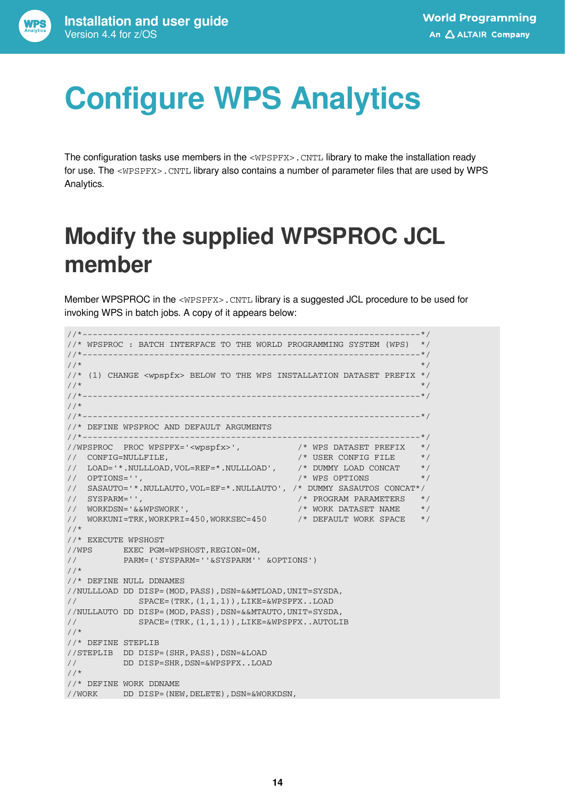# <span id="page-13-0"></span>**Configure WPS Analytics**

The configuration tasks use members in the <WPSPFX>. CNTL library to make the installation ready for use. The <WPSPFX>.CNTL library also contains a number of parameter files that are used by WPS Analytics.

## <span id="page-13-1"></span>**Modify the supplied WPSPROC JCL member**

Member WPSPROC in the <WPSPFX>.CNTL library is a suggested JCL procedure to be used for invoking WPS in batch jobs. A copy of it appears below:

```
1/1\star \star \star//* WPSPROC : BATCH INTERFACE TO THE WORLD PROGRAMMING SYSTEM (WPS) */
//*------------------------------------------------------------------*/
                                                          \star/
//* (1) CHANGE <wpspfx> BELOW TO THE WPS INSTALLATION DATASET PREFIX */
\frac{1}{\sqrt{2}} , the contract of the contract of the contract of the contract of the contract of the contract of the contract of the contract of the contract of the contract of the contract of the contract of the contract o
//*------------------------------------------------------------------*/
//*
//*------------------------------------------------------------------*/
//* DEFINE WPSPROC AND DEFAULT ARGUMENTS
//*------------------------------------------------------------------*/
//WPSPROC PROC WPSPFX='<wpspfx>', /* WPS DATASET PREFIX */
// CONFIG=NULLFILE, /* USER CONFIG FILE */
// LOAD='*.NULLLOAD,VOL=REF=*.NULLLOAD', /* DUMMY LOAD CONCAT */
// OPTIONS='', /* WPS OPTIONS */
// SASAUTO='*.NULLAUTO,VOL=EF=*.NULLAUTO', /* DUMMY SASAUTOS CONCAT*/
// SYSPARM='', /* PROGRAM PARAMETERS */
\hspace{1.6cm}{\rm //} \hspace{1.2cm} {\rm WORKDSN} = \hspace{1.2cm} \cdot \hspace{1.2cm} \& {\rm WPSWORK} \hspace{1.2cm} \cdot \hspace{1.2cm} \cdot \hspace{1.2cm} {\rm VORK} \hspace{1.2cm} {\rm DATASET} \hspace{1.2cm} {\rm NAME} \hspace{1.2cm} \star \hspace{1.2cm} \cdot \hspace{1.2cm}// WORKUNI=TRK,WORKPRI=450,WORKSEC=450 /* DEFAULT WORK SPACE */
//*
//* EXECUTE WPSHOST
//WPS EXEC PGM=WPSHOST,REGION=0M,
// PARM=('SYSPARM=''&SYSPARM'' &OPTIONS')
//*
//* DEFINE NULL DDNAMES
//NULLLOAD DD DISP=(MOD,PASS),DSN=&&MTLOAD,UNIT=SYSDA,
// SPACE=(TRK,(1,1,1)),LIKE=&WPSPFX..LOAD
//NULLAUTO DD DISP=(MOD,PASS),DSN=&&MTAUTO,UNIT=SYSDA,
// SPACE=(TRK,(1,1,1)),LIKE=&WPSPFX..AUTOLIB
//*
//* DEFINE STEPLIB
//STEPLIB DD DISP=(SHR,PASS),DSN=&LOAD
// DD DISP=SHR,DSN=&WPSPFX..LOAD
//*
//* DEFINE WORK DDNAME
//WORK DD DISP=(NEW,DELETE),DSN=&WORKDSN,
```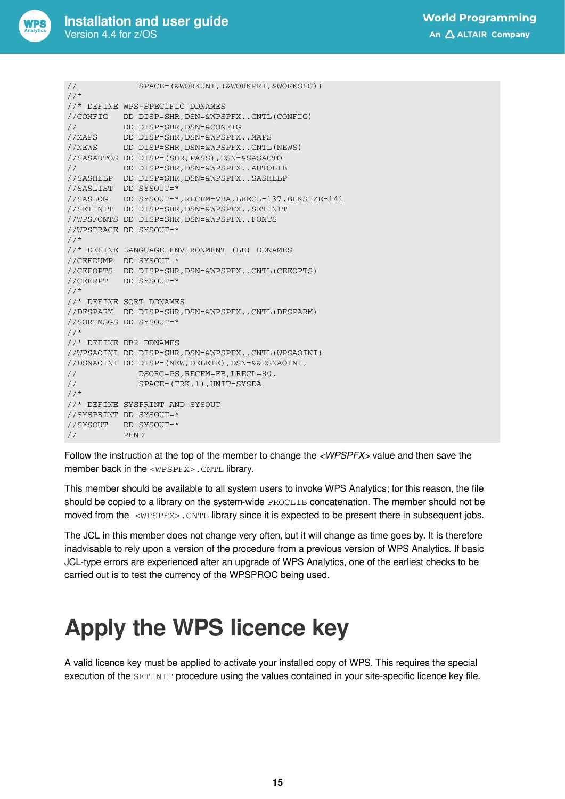

```
// SPACE=(&WORKUNI,(&WORKPRI,&WORKSEC))
1/*
//* DEFINE WPS-SPECIFIC DDNAMES
//CONFIG DD DISP=SHR,DSN=&WPSPFX..CNTL(CONFIG)
// DD DISP=SHR,DSN=&CONFIG
//MAPS DD DISP=SHR,DSN=&WPSPFX..MAPS
//NEWS DD DISP=SHR,DSN=&WPSPFX..CNTL(NEWS)
//SASAUTOS DD DISP=(SHR,PASS),DSN=&SASAUTO
// DD DISP=SHR,DSN=&WPSPFX..AUTOLIB
//SASHELP DD DISP=SHR,DSN=&WPSPFX..SASHELP
//SASLIST DD SYSOUT=*
//SASLOG DD SYSOUT=*,RECFM=VBA,LRECL=137,BLKSIZE=141
//SETINIT DD DISP=SHR,DSN=&WPSPFX..SETINIT
//WPSFONTS DD DISP=SHR,DSN=&WPSPFX..FONTS
//WPSTRACE DD SYSOUT=*
1///* DEFINE LANGUAGE ENVIRONMENT (LE) DDNAMES
//CEEDUMP DD SYSOUT=*
//CEEOPTS DD DISP=SHR,DSN=&WPSPFX..CNTL(CEEOPTS)
//CEERPT DD SYSOUT=*
//*
//* DEFINE SORT DDNAMES
//DFSPARM DD DISP=SHR,DSN=&WPSPFX..CNTL(DFSPARM)
//SORTMSGS DD SYSOUT=*
//*
//* DEFINE DB2 DDNAMES
//WPSAOINI DD DISP=SHR,DSN=&WPSPFX..CNTL(WPSAOINI)
//DSNAOINI DD DISP=(NEW,DELETE),DSN=&&DSNAOINI,
// DSORG=PS,RECFM=FB,LRECL=80,
// SPACE=(TRK,1),UNIT=SYSDA
//*
//* DEFINE SYSPRINT AND SYSOUT
//SYSPRINT DD SYSOUT=*
//SYSOUT DD SYSOUT=*
// PEND
```
Follow the instruction at the top of the member to change the *<WPSPFX>* value and then save the member back in the <WPSPFX>.CNTL library.

This member should be available to all system users to invoke WPS Analytics; for this reason, the file should be copied to a library on the system-wide PROCLIB concatenation. The member should not be moved from the <WPSPFX>. CNTL library since it is expected to be present there in subsequent jobs.

The JCL in this member does not change very often, but it will change as time goes by. It is therefore inadvisable to rely upon a version of the procedure from a previous version of WPS Analytics. If basic JCL-type errors are experienced after an upgrade of WPS Analytics, one of the earliest checks to be carried out is to test the currency of the WPSPROC being used.

### <span id="page-14-0"></span>**Apply the WPS licence key**

A valid licence key must be applied to activate your installed copy of WPS. This requires the special execution of the SETINIT procedure using the values contained in your site-specific licence key file.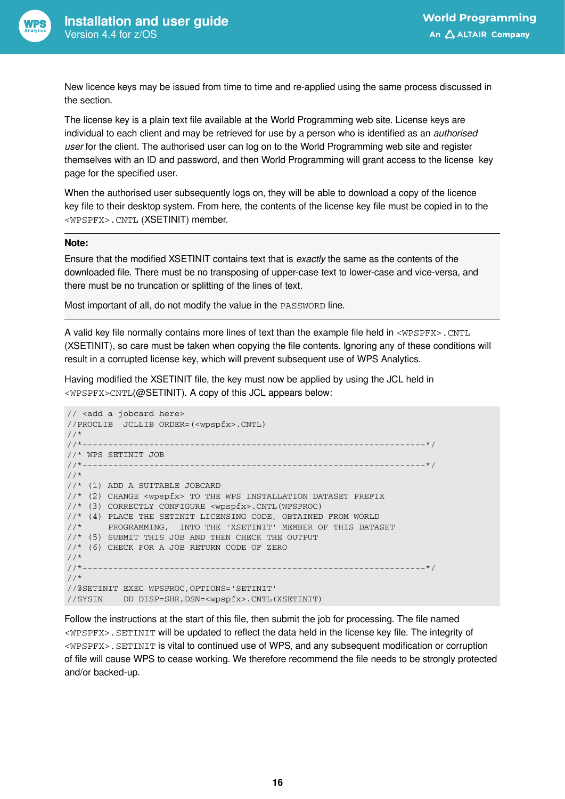

New licence keys may be issued from time to time and re-applied using the same process discussed in the section.

The license key is a plain text file available at the World Programming web site. License keys are individual to each client and may be retrieved for use by a person who is identified as an *authorised user* for the client. The authorised user can log on to the World Programming web site and register themselves with an ID and password, and then World Programming will grant access to the license key page for the specified user.

When the authorised user subsequently logs on, they will be able to download a copy of the licence key file to their desktop system. From here, the contents of the license key file must be copied in to the <WPSPFX>.CNTL (XSETINIT) member.

#### **Note:**

Ensure that the modified XSETINIT contains text that is *exactly* the same as the contents of the downloaded file. There must be no transposing of upper-case text to lower-case and vice-versa, and there must be no truncation or splitting of the lines of text.

Most important of all, do not modify the value in the PASSWORD line.

A valid key file normally contains more lines of text than the example file held in  $\langle WPSPPX\rangle$ . CNTL (XSETINIT), so care must be taken when copying the file contents. Ignoring any of these conditions will result in a corrupted license key, which will prevent subsequent use of WPS Analytics.

Having modified the XSETINIT file, the key must now be applied by using the JCL held in <WPSPFX>CNTL(@SETINIT). A copy of this JCL appears below:

```
// <add a jobcard here>
//PROCLIB JCLLIB ORDER=(<wpspfx>.CNTL)
//^*<br>//*____
//*-------------------------------------------------------------------*/
//* WPS SETINIT JOB
//*-------------------------------------------------------------------*/
//*
//* (1) ADD A SUITABLE JOBCARD
//* (2) CHANGE <wpspfx> TO THE WPS INSTALLATION DATASET PREFIX
//* (3) CORRECTLY CONFIGURE <wpspfx>.CNTL(WPSPROC)
//* (4) PLACE THE SETINIT LICENSING CODE, OBTAINED FROM WORLD
//* PROGRAMMING, INTO THE 'XSETINIT' MEMBER OF THIS DATASET
//* (5) SUBMIT THIS JOB AND THEN CHECK THE OUTPUT
//* (6) CHECK FOR A JOB RETURN CODE OF ZERO
//*
//*-------------------------------------------------------------------*/
//*
//@SETINIT EXEC WPSPROC,OPTIONS='SETINIT'
//SYSIN DD DISP=SHR,DSN=<wpspfx>.CNTL(XSETINIT)
```
Follow the instructions at the start of this file, then submit the job for processing. The file named <WPSPFX>.SETINIT will be updated to reflect the data held in the license key file. The integrity of <WPSPFX>.SETINIT is vital to continued use of WPS, and any subsequent modification or corruption of file will cause WPS to cease working. We therefore recommend the file needs to be strongly protected and/or backed-up.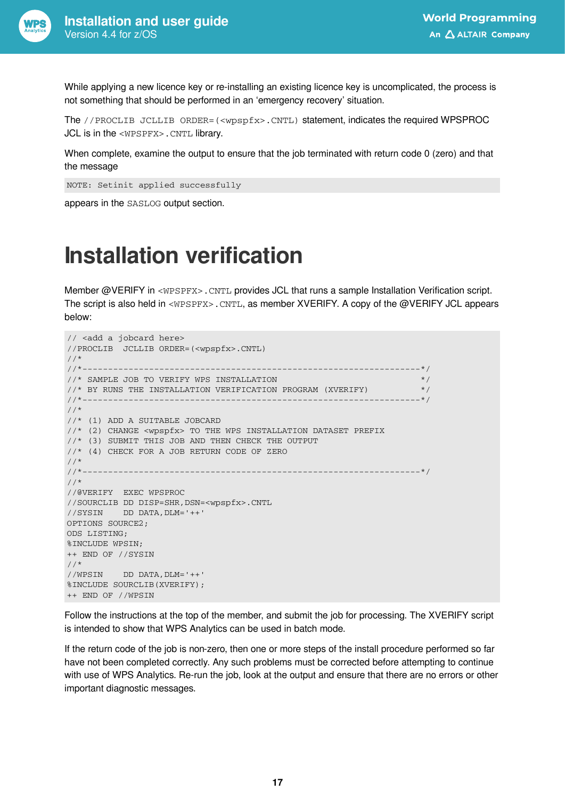

While applying a new licence key or re-installing an existing licence key is uncomplicated, the process is not something that should be performed in an 'emergency recovery' situation.

The //PROCLIB JCLLIB ORDER=(<wpspfx>.CNTL) statement, indicates the required WPSPROC JCL is in the <WPSPFX>.CNTL library.

When complete, examine the output to ensure that the job terminated with return code 0 (zero) and that the message

NOTE: Setinit applied successfully

appears in the SASLOG output section.

### <span id="page-16-0"></span>**Installation verification**

Member @VERIFY in <WPSPFX>.CNTL provides JCL that runs a sample Installation Verification script. The script is also held in <WPSPFX>.CNTL, as member XVERIFY. A copy of the @VERIFY JCL appears below:

```
// <add a jobcard here>
//PROCLIB JCLLIB ORDER=(<wpspfx>.CNTL)
//*<br>//*--------
                      //*------------------------------------------------------------------*/
\frac{1}{x} SAMPLE JOB TO VERIFY WPS INSTALLATION \frac{x}{x}1/* BY RUNS THE INSTALLATION VERIFICATION PROGRAM (XVERIFY) */
//*------------------------------------------------------------------*/
//*
//* (1) ADD A SUITABLE JOBCARD
//* (2) CHANGE <wpspfx> TO THE WPS INSTALLATION DATASET PREFIX
//* (3) SUBMIT THIS JOB AND THEN CHECK THE OUTPUT
//* (4) CHECK FOR A JOB RETURN CODE OF ZERO
//*
//*------------------------------------------------------------------*/
//*
//@VERIFY EXEC WPSPROC
//SOURCLIB DD DISP=SHR,DSN=<wpspfx>.CNTL
//SYSIN DD DATA,DLM='++'
OPTIONS SOURCE2;
ODS LISTING;
%INCLUDE WPSIN;
++ END OF //SYSIN
//*
//WPSIN DD DATA,DLM='++'
%INCLUDE SOURCLIB(XVERIFY);
++ END OF //WPSIN
```
Follow the instructions at the top of the member, and submit the job for processing. The XVERIFY script is intended to show that WPS Analytics can be used in batch mode.

If the return code of the job is non-zero, then one or more steps of the install procedure performed so far have not been completed correctly. Any such problems must be corrected before attempting to continue with use of WPS Analytics. Re-run the job, look at the output and ensure that there are no errors or other important diagnostic messages.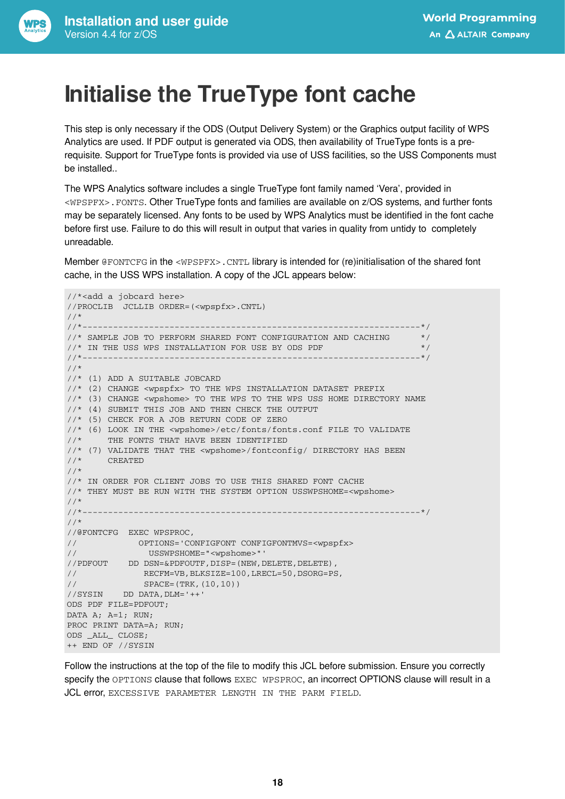### <span id="page-17-0"></span>**Initialise the TrueType font cache**

This step is only necessary if the ODS (Output Delivery System) or the Graphics output facility of WPS Analytics are used. If PDF output is generated via ODS, then availability of TrueType fonts is a prerequisite. Support for TrueType fonts is provided via use of USS facilities, so the USS Components must be installed..

The WPS Analytics software includes a single TrueType font family named 'Vera', provided in <WPSPFX>.FONTS. Other TrueType fonts and families are available on z/OS systems, and further fonts may be separately licensed. Any fonts to be used by WPS Analytics must be identified in the font cache before first use. Failure to do this will result in output that varies in quality from untidy to completely unreadable.

Member @FONTCFG in the <WPSPFX>.CNTL library is intended for (re)initialisation of the shared font cache, in the USS WPS installation. A copy of the JCL appears below:

```
//*<add a jobcard here>
//PROCLIB JCLLIB ORDER=(<wpspfx>.CNTL)
//*
//*------------------------------------------------------------------*/
\frac{1}{4} SAMPLE JOB TO PERFORM SHARED FONT CONFIGURATION AND CACHING \frac{1}{4}//* IN THE USS WPS INSTALLATION FOR USE BY ODS PDF */
       //*------------------------------------------------------------------*/
//*
//* (1) ADD A SUITABLE JOBCARD
//* (2) CHANGE <wpspfx> TO THE WPS INSTALLATION DATASET PREFIX
//* (3) CHANGE <wpshome> TO THE WPS TO THE WPS USS HOME DIRECTORY NAME
//* (4) SUBMIT THIS JOB AND THEN CHECK THE OUTPUT
//* (5) CHECK FOR A JOB RETURN CODE OF ZERO
//* (6) LOOK IN THE <wpshome>/etc/fonts/fonts.conf FILE TO VALIDATE
//* THE FONTS THAT HAVE BEEN IDENTIFIED
//* (7) VALIDATE THAT THE <wpshome>/fontconfig/ DIRECTORY HAS BEEN //* CREATED
    //* CREATED
//*
//* IN ORDER FOR CLIENT JOBS TO USE THIS SHARED FONT CACHE
//* THEY MUST BE RUN WITH THE SYSTEM OPTION USSWPSHOME=<wpshome>
//*
//*------------------------------------------------------------------*/
//*
//@FONTCFG EXEC WPSPROC,
// OPTIONS='CONFIGFONT CONFIGFONTMVS=<wpspfx>
// USSWPSHOME="<wpshome>"'
//PDFOUT DD DSN=&PDFOUTF,DISP=(NEW,DELETE,DELETE),
// RECFM=VB,BLKSIZE=100,LRECL=50,DSORG=PS,
// SPACE=(TRK,(10,10))
//SYSIN DD DATA,DLM='++'
ODS PDF FILE=PDFOUT;
DATA A; A=1; RUN;
PROC PRINT DATA=A; RUN;
ODS _ALL_ CLOSE;
++ END OF //SYSIN
```
Follow the instructions at the top of the file to modify this JCL before submission. Ensure you correctly specify the OPTIONS clause that follows EXEC WPSPROC, an incorrect OPTIONS clause will result in a JCL error, EXCESSIVE PARAMETER LENGTH IN THE PARM FIELD.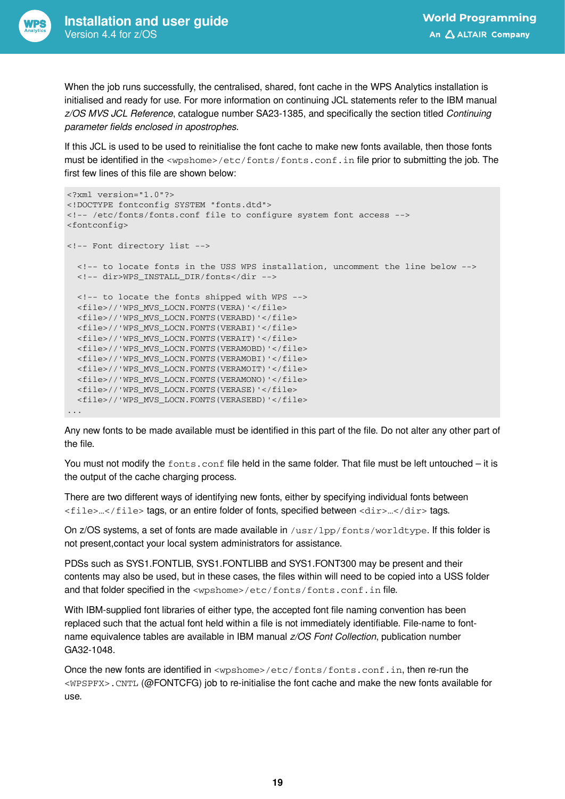

When the job runs successfully, the centralised, shared, font cache in the WPS Analytics installation is initialised and ready for use. For more information on continuing JCL statements refer to the IBM manual *z/OS MVS JCL Reference*, catalogue number SA23-1385, and specifically the section titled *Continuing parameter fields enclosed in apostrophes*.

If this JCL is used to be used to reinitialise the font cache to make new fonts available, then those fonts must be identified in the <wpshome>/etc/fonts/fonts.conf.in file prior to submitting the job. The first few lines of this file are shown below:

```
<?xml version="1.0"?>
<!DOCTYPE fontconfig SYSTEM "fonts.dtd">
<!-- /etc/fonts/fonts.conf file to configure system font access -->
<fontconfig>
<!-- Font directory list -->
   <!-- to locate fonts in the USS WPS installation, uncomment the line below -->
   <!-- dir>WPS_INSTALL_DIR/fonts</dir -->
   <!-- to locate the fonts shipped with WPS -->
   <file>//'WPS_MVS_LOCN.FONTS(VERA)'</file>
   <file>//'WPS_MVS_LOCN.FONTS(VERABD)'</file>
   <file>//'WPS_MVS_LOCN.FONTS(VERABI)'</file>
   <file>//'WPS_MVS_LOCN.FONTS(VERAIT)'</file>
   <file>//'WPS_MVS_LOCN.FONTS(VERAMOBD)'</file>
   <file>//'WPS_MVS_LOCN.FONTS(VERAMOBI)'</file>
   <file>//'WPS_MVS_LOCN.FONTS(VERAMOIT)'</file>
   <file>//'WPS_MVS_LOCN.FONTS(VERAMONO)'</file>
   <file>//'WPS_MVS_LOCN.FONTS(VERASE)'</file>
   <file>//'WPS_MVS_LOCN.FONTS(VERASEBD)'</file>
...
```
Any new fonts to be made available must be identified in this part of the file. Do not alter any other part of the file.

You must not modify the fonts.conf file held in the same folder. That file must be left untouched – it is the output of the cache charging process.

There are two different ways of identifying new fonts, either by specifying individual fonts between  $\langle$  file>… $\langle$ /file> tags, or an entire folder of fonts, specified between  $\langle$ dir> $\ldots$  $\langle$ dir> $\rangle$ tags.

On  $z/OS$  systems, a set of fonts are made available in  $/usr/1pp/fonts/worldtype$ . If this folder is not present,contact your local system administrators for assistance.

PDSs such as SYS1.FONTLIB, SYS1.FONTLIBB and SYS1.FONT300 may be present and their contents may also be used, but in these cases, the files within will need to be copied into a USS folder and that folder specified in the <wpshome>/etc/fonts/fonts.conf.in file.

With IBM-supplied font libraries of either type, the accepted font file naming convention has been replaced such that the actual font held within a file is not immediately identifiable. File-name to fontname equivalence tables are available in IBM manual *z/OS Font Collection*, publication number GA32-1048.

Once the new fonts are identified in <wpshome>/etc/fonts/fonts.conf.in, then re-run the <WPSPFX>.CNTL (@FONTCFG) job to re-initialise the font cache and make the new fonts available for use.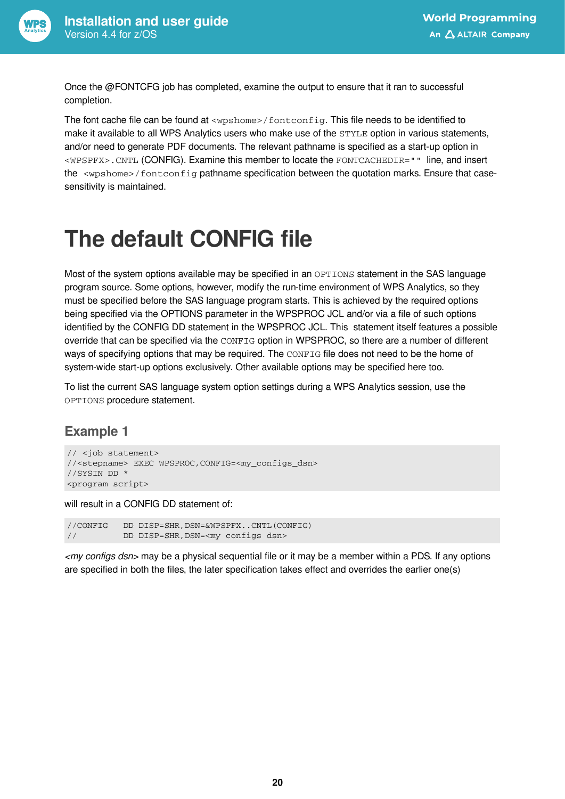

Once the @FONTCFG job has completed, examine the output to ensure that it ran to successful completion.

The font cache file can be found at <wpshome>/fontconfig. This file needs to be identified to make it available to all WPS Analytics users who make use of the STYLE option in various statements, and/or need to generate PDF documents. The relevant pathname is specified as a start-up option in <WPSPFX>.CNTL (CONFIG). Examine this member to locate the FONTCACHEDIR="" line, and insert the <wpshome>/fontconfig pathname specification between the quotation marks. Ensure that casesensitivity is maintained.

## <span id="page-19-0"></span>**The default CONFIG file**

Most of the system options available may be specified in an OPTIONS statement in the SAS language program source. Some options, however, modify the run-time environment of WPS Analytics, so they must be specified before the SAS language program starts. This is achieved by the required options being specified via the OPTIONS parameter in the WPSPROC JCL and/or via a file of such options identified by the CONFIG DD statement in the WPSPROC JCL. This statement itself features a possible override that can be specified via the CONFIG option in WPSPROC, so there are a number of different ways of specifying options that may be required. The CONFIG file does not need to be the home of system-wide start-up options exclusively. Other available options may be specified here too.

To list the current SAS language system option settings during a WPS Analytics session, use the OPTIONS procedure statement.

### **Example 1**

```
// <job statement>
//<stepname> EXEC WPSPROC,CONFIG=<my_configs_dsn>
//SYSIN DD *
<program script>
```
will result in a CONFIG DD statement of:

//CONFIG DD DISP=SHR,DSN=&WPSPFX..CNTL(CONFIG) // DD DISP=SHR,DSN=<my configs dsn>

*<my configs dsn>* may be a physical sequential file or it may be a member within a PDS. If any options are specified in both the files, the later specification takes effect and overrides the earlier one(s)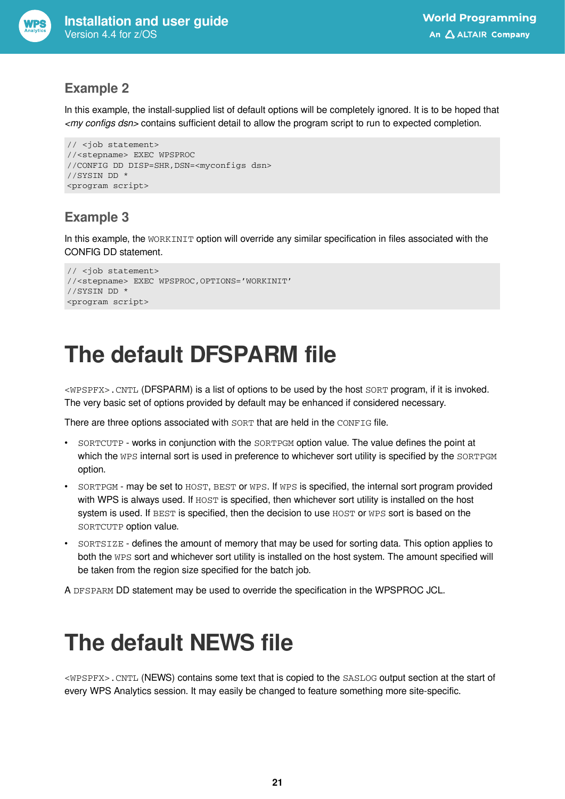

#### **Example 2**

In this example, the install-supplied list of default options will be completely ignored. It is to be hoped that *<my configs dsn>* contains sufficient detail to allow the program script to run to expected completion.

```
// <job statement>
//<stepname> EXEC WPSPROC
//CONFIG DD DISP=SHR,DSN=<myconfigs dsn>
//SYSIN DD *
<program script>
```
### **Example 3**

In this example, the WORKINIT option will override any similar specification in files associated with the CONFIG DD statement.

```
// <job statement>
//<stepname> EXEC WPSPROC,OPTIONS='WORKINIT'
//SYSIN DD *
<program script>
```
## <span id="page-20-0"></span>**The default DFSPARM file**

<WPSPFX>.CNTL (DFSPARM) is a list of options to be used by the host SORT program, if it is invoked. The very basic set of options provided by default may be enhanced if considered necessary.

There are three options associated with SORT that are held in the CONFIG file.

- SORTCUTP works in conjunction with the SORTPGM option value. The value defines the point at which the WPS internal sort is used in preference to whichever sort utility is specified by the SORTPGM option.
- SORTPGM may be set to HOST, BEST or WPS. If WPS is specified, the internal sort program provided with WPS is always used. If HOST is specified, then whichever sort utility is installed on the host system is used. If BEST is specified, then the decision to use HOST or WPS sort is based on the SORTCUTP option value.
- SORTSIZE defines the amount of memory that may be used for sorting data. This option applies to both the WPS sort and whichever sort utility is installed on the host system. The amount specified will be taken from the region size specified for the batch job.

A DFSPARM DD statement may be used to override the specification in the WPSPROC JCL.

### <span id="page-20-1"></span>**The default NEWS file**

<WPSPFX>.CNTL (NEWS) contains some text that is copied to the SASLOG output section at the start of every WPS Analytics session. It may easily be changed to feature something more site-specific.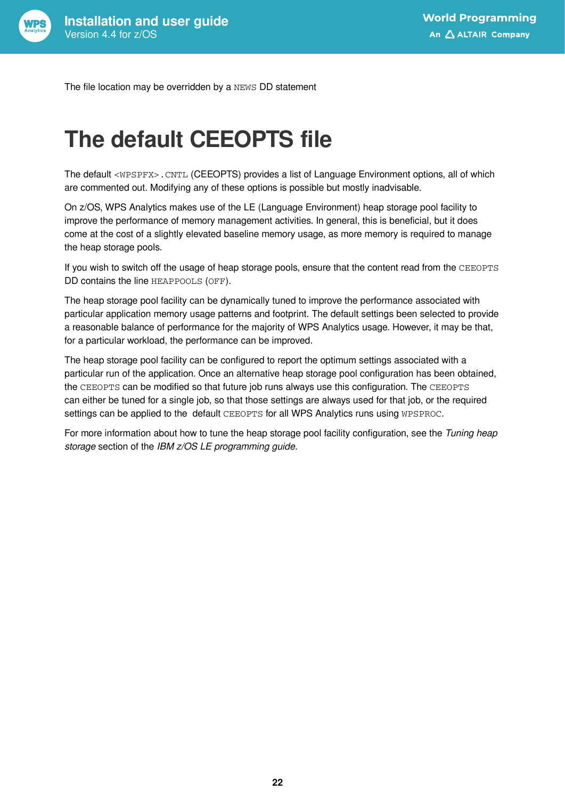

The file location may be overridden by a NEWS DD statement

### <span id="page-21-0"></span>**The default CEEOPTS file**

The default <WPSPFX>.CNTL (CEEOPTS) provides a list of Language Environment options, all of which are commented out. Modifying any of these options is possible but mostly inadvisable.

On z/OS, WPS Analytics makes use of the LE (Language Environment) heap storage pool facility to improve the performance of memory management activities. In general, this is beneficial, but it does come at the cost of a slightly elevated baseline memory usage, as more memory is required to manage the heap storage pools.

If you wish to switch off the usage of heap storage pools, ensure that the content read from the CEEOPTS DD contains the line HEAPPOOLS (OFF).

The heap storage pool facility can be dynamically tuned to improve the performance associated with particular application memory usage patterns and footprint. The default settings been selected to provide a reasonable balance of performance for the majority of WPS Analytics usage. However, it may be that, for a particular workload, the performance can be improved.

The heap storage pool facility can be configured to report the optimum settings associated with a particular run of the application. Once an alternative heap storage pool configuration has been obtained, the CEEOPTS can be modified so that future job runs always use this configuration. The CEEOPTS can either be tuned for a single job, so that those settings are always used for that job, or the required settings can be applied to the default CEEOPTS for all WPS Analytics runs using WPSPROC.

For more information about how to tune the heap storage pool facility configuration, see the *Tuning heap storage* section of the *IBM z/OS LE programming guide*.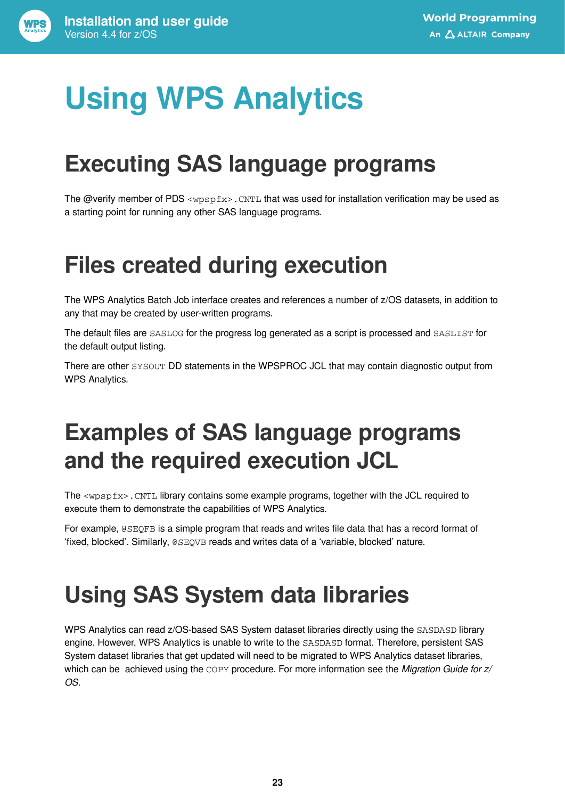# <span id="page-22-0"></span>**Using WPS Analytics**

### <span id="page-22-1"></span>**Executing SAS language programs**

The @verify member of PDS <wpspfx>.CNTL that was used for installation verification may be used as a starting point for running any other SAS language programs.

## <span id="page-22-2"></span>**Files created during execution**

The WPS Analytics Batch Job interface creates and references a number of z/OS datasets, in addition to any that may be created by user-written programs.

The default files are SASLOG for the progress log generated as a script is processed and SASLIST for the default output listing.

There are other SYSOUT DD statements in the WPSPROC JCL that may contain diagnostic output from WPS Analytics.

### <span id="page-22-3"></span>**Examples of SAS language programs and the required execution JCL**

The <wpspfx>.CNTL library contains some example programs, together with the JCL required to execute them to demonstrate the capabilities of WPS Analytics.

For example, @SEQFB is a simple program that reads and writes file data that has a record format of 'fixed, blocked'. Similarly, @SEQVB reads and writes data of a 'variable, blocked' nature.

## <span id="page-22-4"></span>**Using SAS System data libraries**

WPS Analytics can read z/OS-based SAS System dataset libraries directly using the SASDASD library engine. However, WPS Analytics is unable to write to the SASDASD format. Therefore, persistent SAS System dataset libraries that get updated will need to be migrated to WPS Analytics dataset libraries, which can be achieved using the COPY procedure. For more information see the *Migration Guide for z/ OS*.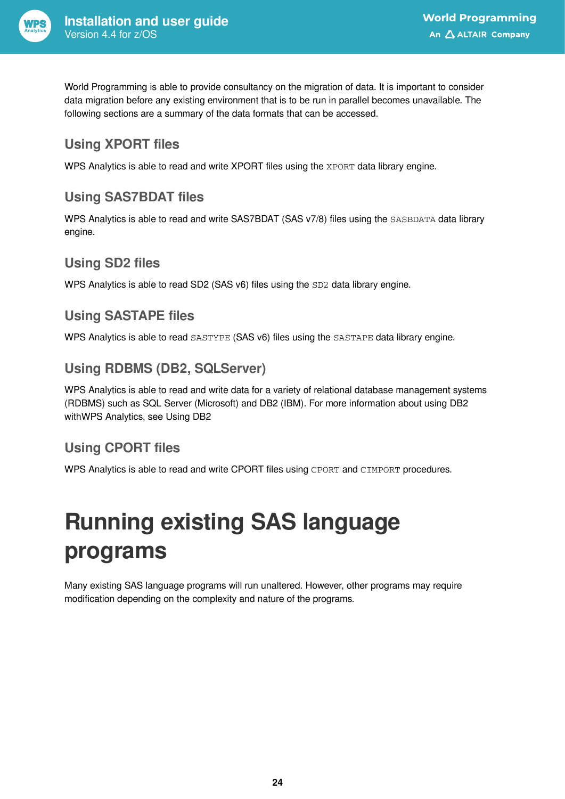

World Programming is able to provide consultancy on the migration of data. It is important to consider data migration before any existing environment that is to be run in parallel becomes unavailable. The following sections are a summary of the data formats that can be accessed.

### **Using XPORT files**

WPS Analytics is able to read and write XPORT files using the XPORT data library engine.

### **Using SAS7BDAT files**

WPS Analytics is able to read and write SAS7BDAT (SAS v7/8) files using the SASBDATA data library engine.

### **Using SD2 files**

WPS Analytics is able to read SD2 (SAS v6) files using the SD2 data library engine.

#### **Using SASTAPE files**

WPS Analytics is able to read SASTYPE (SAS v6) files using the SASTAPE data library engine.

### **Using RDBMS (DB2, SQLServer)**

WPS Analytics is able to read and write data for a variety of relational database management systems (RDBMS) such as SQL Server (Microsoft) and DB2 (IBM). For more information about using DB2 withWPS Analytics, see Using DB2

### **Using CPORT files**

WPS Analytics is able to read and write CPORT files using CPORT and CIMPORT procedures.

## <span id="page-23-0"></span>**Running existing SAS language programs**

Many existing SAS language programs will run unaltered. However, other programs may require modification depending on the complexity and nature of the programs.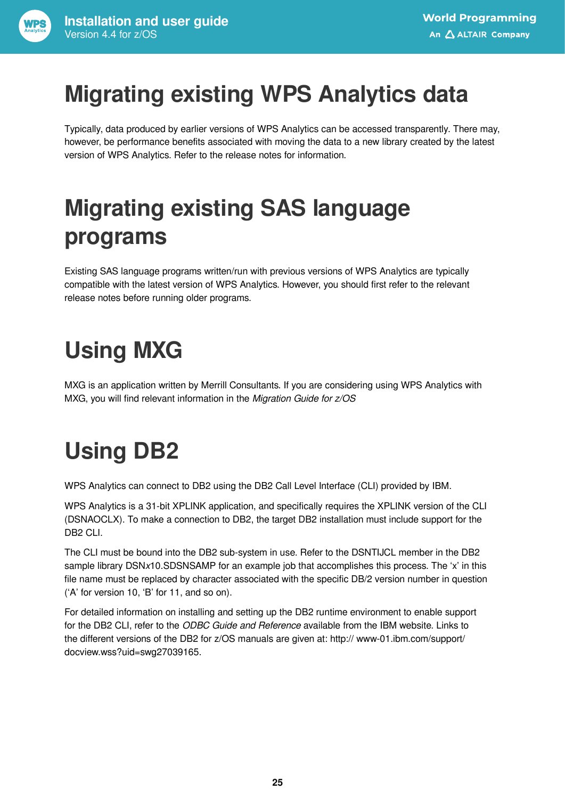## <span id="page-24-0"></span>**Migrating existing WPS Analytics data**

Typically, data produced by earlier versions of WPS Analytics can be accessed transparently. There may, however, be performance benefits associated with moving the data to a new library created by the latest version of WPS Analytics. Refer to the release notes for information.

## <span id="page-24-1"></span>**Migrating existing SAS language programs**

Existing SAS language programs written/run with previous versions of WPS Analytics are typically compatible with the latest version of WPS Analytics. However, you should first refer to the relevant release notes before running older programs.

## <span id="page-24-2"></span>**Using MXG**

MXG is an application written by Merrill Consultants. If you are considering using WPS Analytics with MXG, you will find relevant information in the *Migration Guide for z/OS*

## <span id="page-24-3"></span>**Using DB2**

WPS Analytics can connect to DB2 using the DB2 Call Level Interface (CLI) provided by IBM.

WPS Analytics is a 31-bit XPLINK application, and specifically requires the XPLINK version of the CLI (DSNAOCLX). To make a connection to DB2, the target DB2 installation must include support for the DB2 CLI.

The CLI must be bound into the DB2 sub-system in use. Refer to the DSNTIJCL member in the DB2 sample library DSN*x*10.SDSNSAMP for an example job that accomplishes this process. The 'x' in this file name must be replaced by character associated with the specific DB/2 version number in question ('A' for version 10, 'B' for 11, and so on).

For detailed information on installing and setting up the DB2 runtime environment to enable support for the DB2 CLI, refer to the *ODBC Guide and Reference* available from the IBM website. Links to the different versions of the DB2 for z/OS manuals are given at: http:// www-01.ibm.com/support/ docview.wss?uid=swg27039165.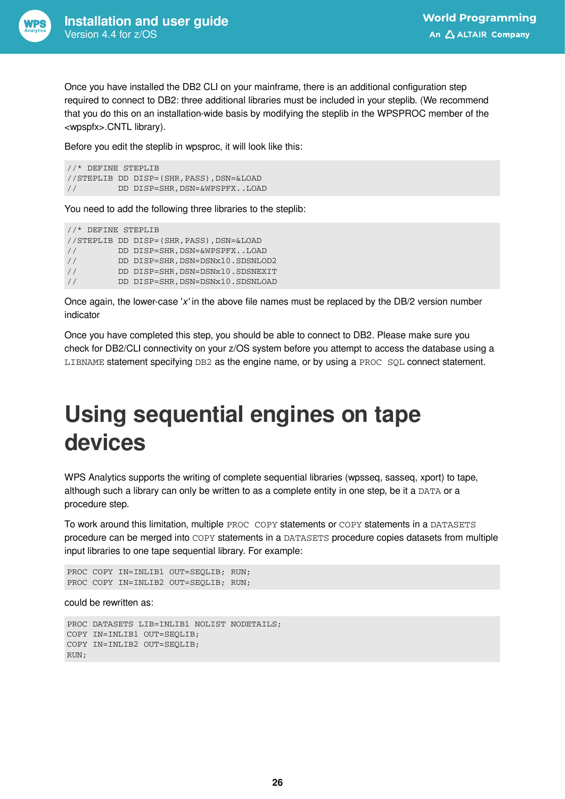

Once you have installed the DB2 CLI on your mainframe, there is an additional configuration step required to connect to DB2: three additional libraries must be included in your steplib. (We recommend that you do this on an installation-wide basis by modifying the steplib in the WPSPROC member of the <wpspfx>.CNTL library).

Before you edit the steplib in wpsproc, it will look like this:

```
//* DEFINE STEPLIB
//STEPLIB DD DISP=(SHR,PASS),DSN=&LOAD
// DD DISP=SHR,DSN=&WPSPFX..LOAD
```
You need to add the following three libraries to the steplib:

```
//* DEFINE STEPLIB
//STEPLIB DD DISP=(SHR,PASS),DSN=&LOAD
// DD DISP=SHR,DSN=&WPSPFX..LOAD
// DD DISP=SHR,DSN=DSNx10.SDSNLOD2
// DD DISP=SHR,DSN=DSNx10.SDSNEXIT
// DD DISP=SHR,DSN=DSNx10.SDSNLOAD
```
Once again, the lower-case '*x'* in the above file names must be replaced by the DB/2 version number indicator

Once you have completed this step, you should be able to connect to DB2. Please make sure you check for DB2/CLI connectivity on your z/OS system before you attempt to access the database using a LIBNAME statement specifying DB2 as the engine name, or by using a PROC SQL connect statement.

### <span id="page-25-0"></span>**Using sequential engines on tape devices**

WPS Analytics supports the writing of complete sequential libraries (wpsseq, sasseq, xport) to tape, although such a library can only be written to as a complete entity in one step, be it a DATA or a procedure step.

To work around this limitation, multiple PROC COPY statements or COPY statements in a DATASETS procedure can be merged into COPY statements in a DATASETS procedure copies datasets from multiple input libraries to one tape sequential library. For example:

```
PROC COPY IN=INLIB1 OUT=SEQLIB; RUN;
PROC COPY IN=INLIB2 OUT=SEQLIB; RUN;
```
could be rewritten as:

```
PROC DATASETS LIB=INLIB1 NOLIST NODETAILS;
COPY IN=INLIB1 OUT=SEQLIB;
COPY IN=INLIB2 OUT=SEQLIB;
RUN;
```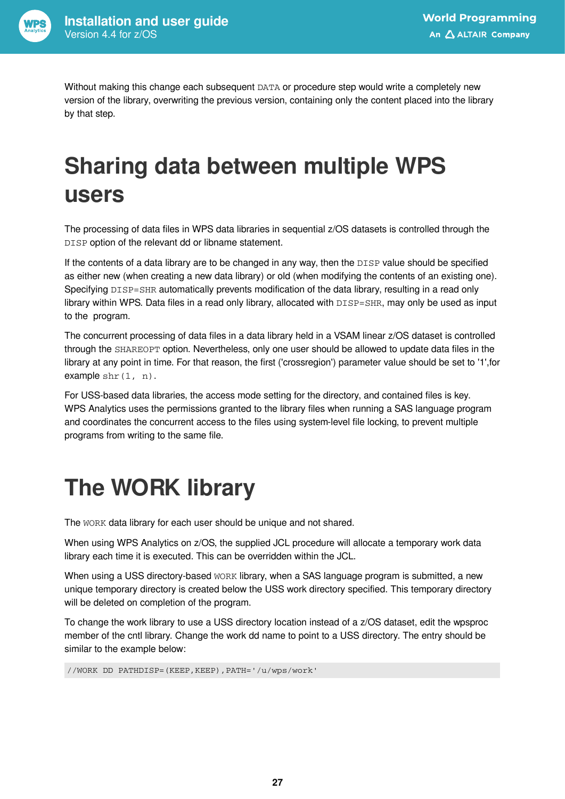

Without making this change each subsequent DATA or procedure step would write a completely new version of the library, overwriting the previous version, containing only the content placed into the library by that step.

## <span id="page-26-0"></span>**Sharing data between multiple WPS users**

The processing of data files in WPS data libraries in sequential z/OS datasets is controlled through the DISP option of the relevant dd or libname statement.

If the contents of a data library are to be changed in any way, then the DISP value should be specified as either new (when creating a new data library) or old (when modifying the contents of an existing one). Specifying DISP=SHR automatically prevents modification of the data library, resulting in a read only library within WPS. Data files in a read only library, allocated with  $DISP=SHR$ , may only be used as input to the program.

The concurrent processing of data files in a data library held in a VSAM linear z/OS dataset is controlled through the SHAREOPT option. Nevertheless, only one user should be allowed to update data files in the library at any point in time. For that reason, the first ('crossregion') parameter value should be set to '1',for example  $\text{shr}(1, n)$ .

For USS-based data libraries, the access mode setting for the directory, and contained files is key. WPS Analytics uses the permissions granted to the library files when running a SAS language program and coordinates the concurrent access to the files using system-level file locking, to prevent multiple programs from writing to the same file.

## <span id="page-26-1"></span>**The WORK library**

The WORK data library for each user should be unique and not shared.

When using WPS Analytics on z/OS, the supplied JCL procedure will allocate a temporary work data library each time it is executed. This can be overridden within the JCL.

When using a USS directory-based WORK library, when a SAS language program is submitted, a new unique temporary directory is created below the USS work directory specified. This temporary directory will be deleted on completion of the program.

To change the work library to use a USS directory location instead of a z/OS dataset, edit the wpsproc member of the cntl library. Change the work dd name to point to a USS directory. The entry should be similar to the example below:

//WORK DD PATHDISP=(KEEP,KEEP),PATH='/u/wps/work'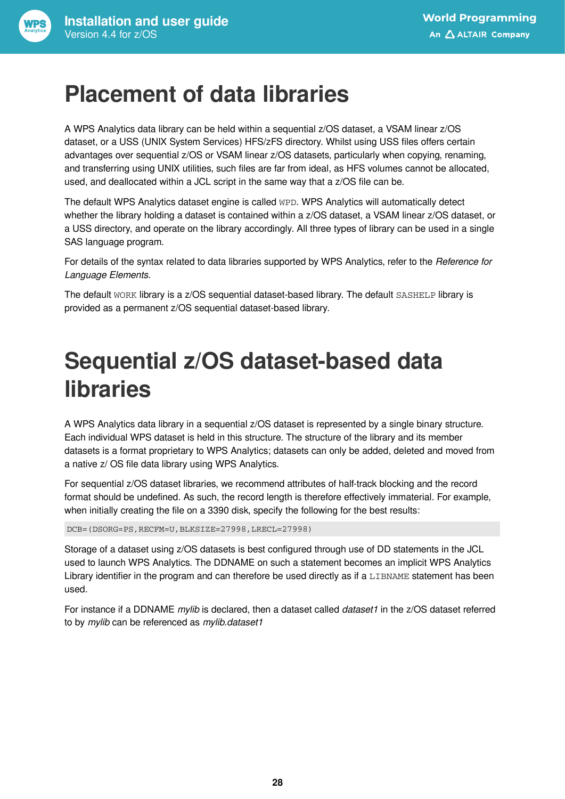### <span id="page-27-0"></span>**Placement of data libraries**

A WPS Analytics data library can be held within a sequential z/OS dataset, a VSAM linear z/OS dataset, or a USS (UNIX System Services) HFS/zFS directory. Whilst using USS files offers certain advantages over sequential z/OS or VSAM linear z/OS datasets, particularly when copying, renaming, and transferring using UNIX utilities, such files are far from ideal, as HFS volumes cannot be allocated, used, and deallocated within a JCL script in the same way that a z/OS file can be.

The default WPS Analytics dataset engine is called WPD. WPS Analytics will automatically detect whether the library holding a dataset is contained within a z/OS dataset, a VSAM linear z/OS dataset, or a USS directory, and operate on the library accordingly. All three types of library can be used in a single SAS language program.

For details of the syntax related to data libraries supported by WPS Analytics, refer to the *Reference for Language Elements*.

The default WORK library is a z/OS sequential dataset-based library. The default SASHELP library is provided as a permanent z/OS sequential dataset-based library.

## <span id="page-27-1"></span>**Sequential z/OS dataset-based data libraries**

A WPS Analytics data library in a sequential z/OS dataset is represented by a single binary structure. Each individual WPS dataset is held in this structure. The structure of the library and its member datasets is a format proprietary to WPS Analytics; datasets can only be added, deleted and moved from a native z/ OS file data library using WPS Analytics.

For sequential z/OS dataset libraries, we recommend attributes of half-track blocking and the record format should be undefined. As such, the record length is therefore effectively immaterial. For example, when initially creating the file on a 3390 disk, specify the following for the best results:

DCB=(DSORG=PS,RECFM=U,BLKSIZE=27998,LRECL=27998)

Storage of a dataset using z/OS datasets is best configured through use of DD statements in the JCL used to launch WPS Analytics. The DDNAME on such a statement becomes an implicit WPS Analytics Library identifier in the program and can therefore be used directly as if a LIBNAME statement has been used.

For instance if a DDNAME *mylib* is declared, then a dataset called *dataset1* in the z/OS dataset referred to by *mylib* can be referenced as *mylib.dataset1*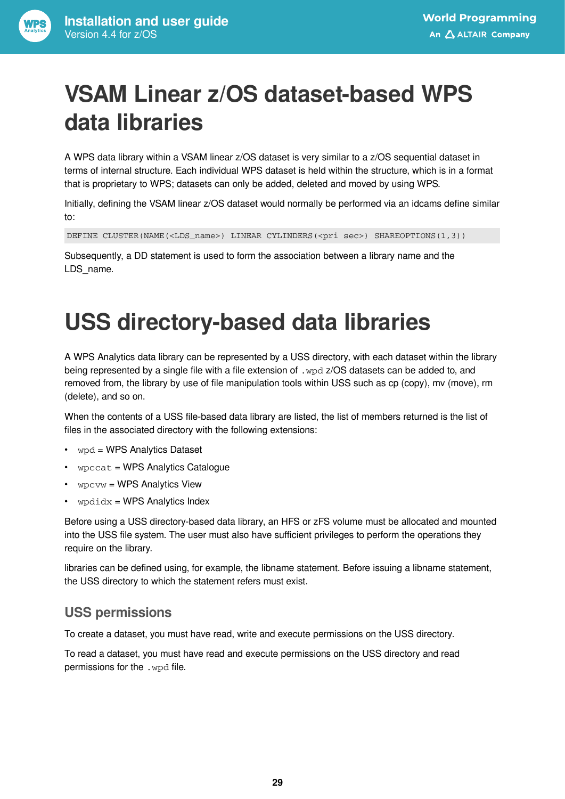## <span id="page-28-0"></span>**VSAM Linear z/OS dataset-based WPS data libraries**

A WPS data library within a VSAM linear z/OS dataset is very similar to a z/OS sequential dataset in terms of internal structure. Each individual WPS dataset is held within the structure, which is in a format that is proprietary to WPS; datasets can only be added, deleted and moved by using WPS.

Initially, defining the VSAM linear z/OS dataset would normally be performed via an idcams define similar to:

DEFINE CLUSTER(NAME(<LDS\_name>) LINEAR CYLINDERS(<pri sec>) SHAREOPTIONS(1,3))

Subsequently, a DD statement is used to form the association between a library name and the LDS name.

## <span id="page-28-1"></span>**USS directory-based data libraries**

A WPS Analytics data library can be represented by a USS directory, with each dataset within the library being represented by a single file with a file extension of . wpd z/OS datasets can be added to, and removed from, the library by use of file manipulation tools within USS such as cp (copy), mv (move), rm (delete), and so on.

When the contents of a USS file-based data library are listed, the list of members returned is the list of files in the associated directory with the following extensions:

- wpd = WPS Analytics Dataset
- wpccat = WPS Analytics Catalogue
- wpcvw = WPS Analytics View
- $wpdi dx = WPS$  Analytics Index

Before using a USS directory-based data library, an HFS or zFS volume must be allocated and mounted into the USS file system. The user must also have sufficient privileges to perform the operations they require on the library.

libraries can be defined using, for example, the libname statement. Before issuing a libname statement, the USS directory to which the statement refers must exist.

#### **USS permissions**

To create a dataset, you must have read, write and execute permissions on the USS directory.

To read a dataset, you must have read and execute permissions on the USS directory and read permissions for the .wpd file.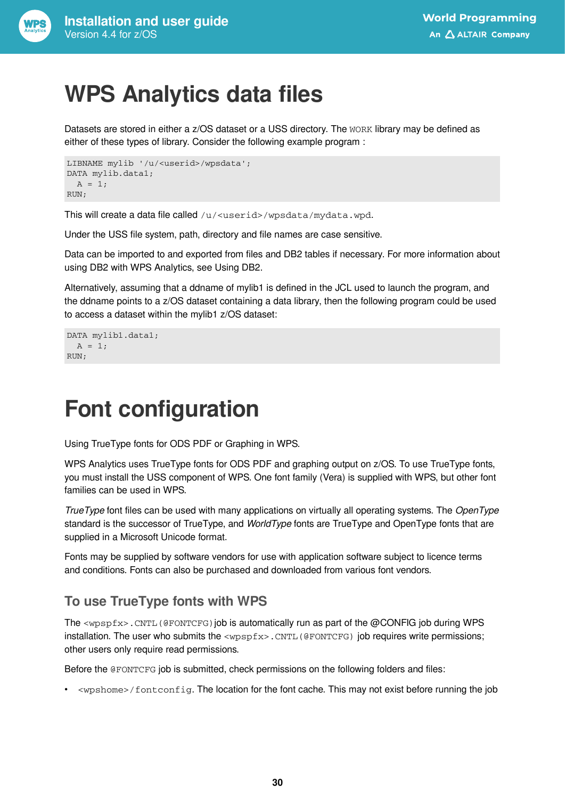

### <span id="page-29-0"></span>**WPS Analytics data files**

Datasets are stored in either a z/OS dataset or a USS directory. The WORK library may be defined as either of these types of library. Consider the following example program :

```
LIBNAME mylib '/u/<userid>/wpsdata';
DATA mylib.data1;
 A = 1;RUN;
```
This will create a data file called /u/<userid>/wpsdata/mydata.wpd.

Under the USS file system, path, directory and file names are case sensitive.

Data can be imported to and exported from files and DB2 tables if necessary. For more information about using DB2 with WPS Analytics, see Using DB2.

Alternatively, assuming that a ddname of mylib1 is defined in the JCL used to launch the program, and the ddname points to a z/OS dataset containing a data library, then the following program could be used to access a dataset within the mylib1 z/OS dataset:

```
DATA mylib1.data1;
  A = 1;RUN;
```
### <span id="page-29-1"></span>**Font configuration**

Using TrueType fonts for ODS PDF or Graphing in WPS.

WPS Analytics uses TrueType fonts for ODS PDF and graphing output on z/OS. To use TrueType fonts, you must install the USS component of WPS. One font family (Vera) is supplied with WPS, but other font families can be used in WPS.

*TrueType* font files can be used with many applications on virtually all operating systems. The *OpenType* standard is the successor of TrueType, and *WorldType* fonts are TrueType and OpenType fonts that are supplied in a Microsoft Unicode format.

Fonts may be supplied by software vendors for use with application software subject to licence terms and conditions. Fonts can also be purchased and downloaded from various font vendors.

### **To use TrueType fonts with WPS**

The  $\langle wpspfx \rangle$ . CNTL (@FONTCFG) job is automatically run as part of the @CONFIG job during WPS installation. The user who submits the <wpspfx>.CNTL(@FONTCFG) job requires write permissions; other users only require read permissions.

Before the @FONTCFG job is submitted, check permissions on the following folders and files:

• <wpshome>/fontconfig. The location for the font cache. This may not exist before running the job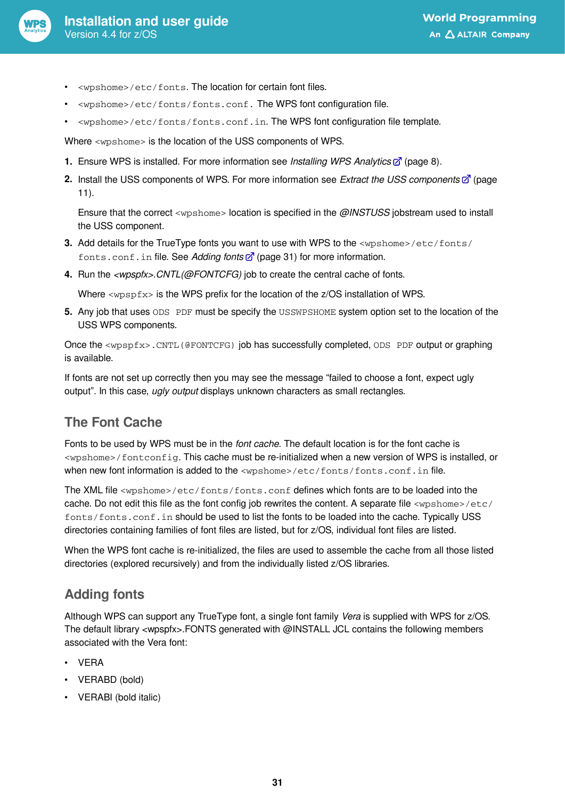

- <wpshome>/etc/fonts. The location for certain font files.
- <wpshome>/etc/fonts/fonts.conf. The WPS font configuration file.
- <wpshome>/etc/fonts/fonts.conf.in. The WPS font configuration file template.

Where <wpshome> is the location of the USS components of WPS.

- **1.** Ensure WPS is installed. For more information see *Installing WPS Analytic[s](#page-7-0)* (page 8).
- **2.** Install the USS components of WPS. For more information see *Extract the USS components* (page 11).

Ensure that the correct <wpshome> location is specified in the *@INSTUSS* jobstream used to install the USS component.

- **3.** Add details for the TrueType fonts you want to use with WPS to the <wpshome>/etc/fonts/ fonts.conf.in file. See *Adding font[s](#page-30-0)* (page 31) for more information.
- **4.** Run the *<wpspfx>.CNTL(@FONTCFG)* job to create the central cache of fonts.

Where  $\langle wpspfx \rangle$  is the WPS prefix for the location of the z/OS installation of WPS.

**5.** Any job that uses ODS PDF must be specify the USSWPSHOME system option set to the location of the USS WPS components.

Once the <wpspfx>.CNTL(@FONTCFG) job has successfully completed, ODS PDF output or graphing is available.

If fonts are not set up correctly then you may see the message "failed to choose a font, expect ugly output". In this case, *ugly output* displays unknown characters as small rectangles.

### **The Font Cache**

Fonts to be used by WPS must be in the *font cache*. The default location is for the font cache is <wpshome>/fontconfig. This cache must be re-initialized when a new version of WPS is installed, or when new font information is added to the <wpshome>/etc/fonts/fonts.conf.in file.

The XML file <wpshome>/etc/fonts/fonts.conf defines which fonts are to be loaded into the cache. Do not edit this file as the font config job rewrites the content. A separate file <wpshome>/etc/ fonts/fonts.conf.in should be used to list the fonts to be loaded into the cache. Typically USS directories containing families of font files are listed, but for z/OS, individual font files are listed.

When the WPS font cache is re-initialized, the files are used to assemble the cache from all those listed directories (explored recursively) and from the individually listed z/OS libraries.

### <span id="page-30-0"></span>**Adding fonts**

Although WPS can support any TrueType font, a single font family *Vera* is supplied with WPS for z/OS. The default library <wpspfx>.FONTS generated with @INSTALL JCL contains the following members associated with the Vera font:

- VERA
- VERABD (bold)
- VERABI (bold italic)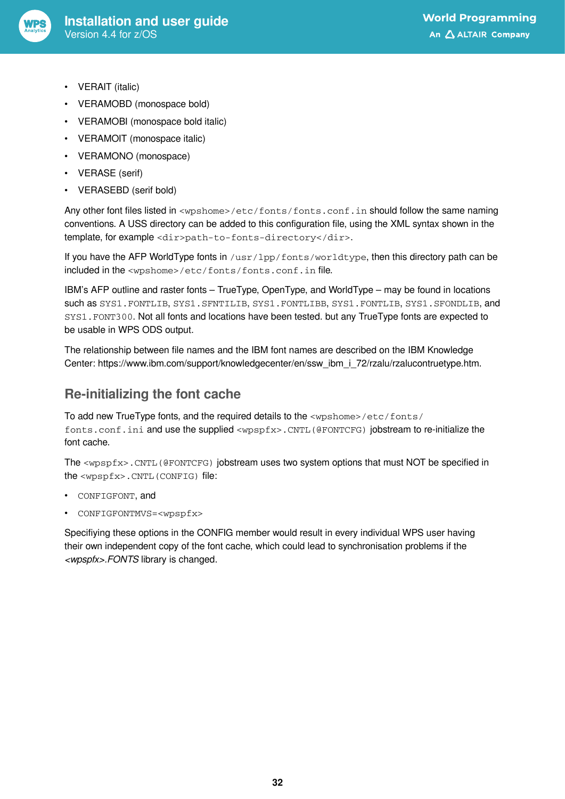

- VERAIT (italic)
- VERAMOBD (monospace bold)
- VERAMOBI (monospace bold italic)
- VERAMOIT (monospace italic)
- VERAMONO (monospace)
- VERASE (serif)
- VERASEBD (serif bold)

Any other font files listed in <wpshome>/etc/fonts/fonts.conf.in should follow the same naming conventions. A USS directory can be added to this configuration file, using the XML syntax shown in the template, for example <dir>path-to-fonts-directory</dir>.

If you have the AFP WorldType fonts in /usr/lpp/fonts/worldtype, then this directory path can be included in the <wpshome>/etc/fonts/fonts.conf.in file.

IBM's AFP outline and raster fonts – TrueType, OpenType, and WorldType – may be found in locations such as SYS1. FONTLIB, SYS1. SFNTILIB, SYS1. FONTLIBB, SYS1. FONTLIB, SYS1. SFONDLIB, and SYS1.FONT300. Not all fonts and locations have been tested. but any TrueType fonts are expected to be usable in WPS ODS output.

The relationship between file names and the IBM font names are described on the IBM Knowledge Center: https://www.ibm.com/support/knowledgecenter/en/ssw\_ibm\_i\_72/rzalu/rzalucontruetype.htm.

### **Re-initializing the font cache**

To add new TrueType fonts, and the required details to the <wpshome>/etc/fonts/ fonts.conf.ini and use the supplied <wpspfx>.CNTL(@FONTCFG) jobstream to re-initialize the font cache.

The <wpspfx>.CNTL(@FONTCFG) jobstream uses two system options that must NOT be specified in the <wpspfx>.CNTL(CONFIG) file:

- CONFIGFONT, and
- CONFIGFONTMVS=<wpspfx>

Specifiying these options in the CONFIG member would result in every individual WPS user having their own independent copy of the font cache, which could lead to synchronisation problems if the *<wpspfx>.FONTS* library is changed.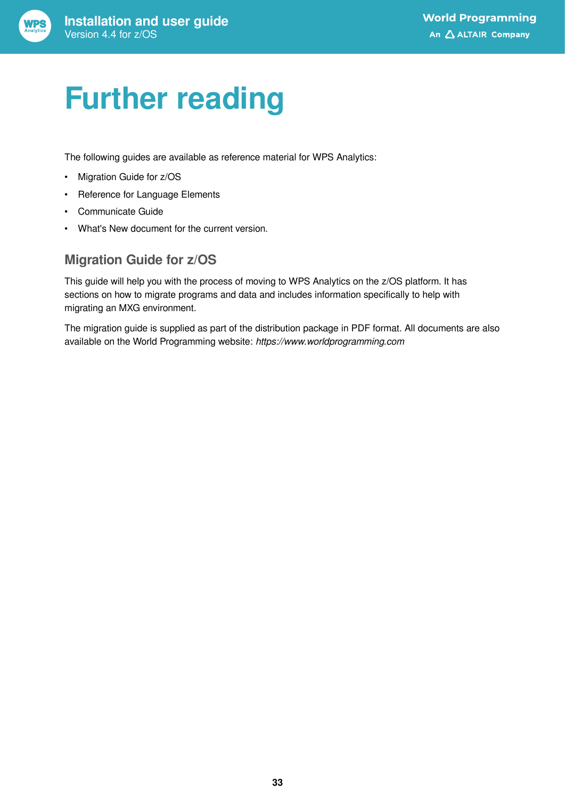# <span id="page-32-0"></span>**Further reading**

The following guides are available as reference material for WPS Analytics:

- Migration Guide for z/OS
- Reference for Language Elements
- Communicate Guide
- What's New document for the current version.

#### **Migration Guide for z/OS**

This guide will help you with the process of moving to WPS Analytics on the z/OS platform. It has sections on how to migrate programs and data and includes information specifically to help with migrating an MXG environment.

The migration guide is supplied as part of the distribution package in PDF format. All documents are also available on the World Programming website: *https://www.worldprogramming.com*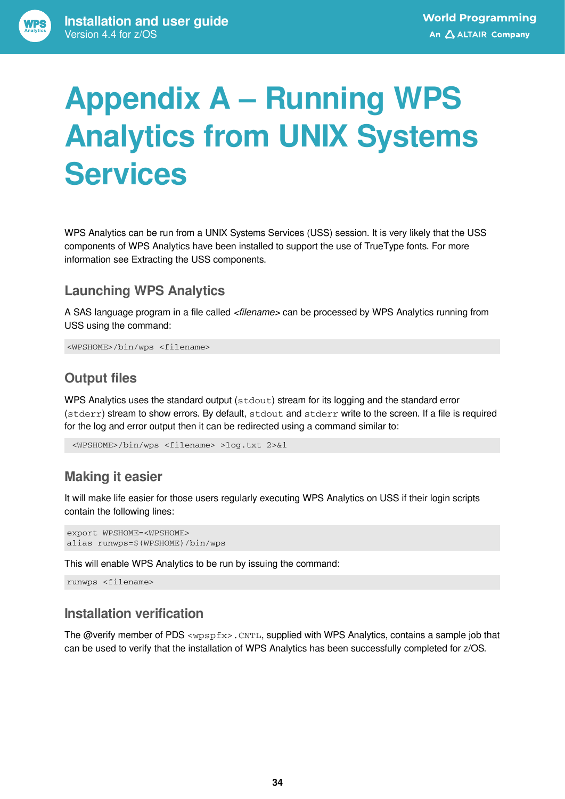# <span id="page-33-0"></span>**Appendix A – Running WPS Analytics from UNIX Systems Services**

WPS Analytics can be run from a UNIX Systems Services (USS) session. It is very likely that the USS components of WPS Analytics have been installed to support the use of TrueType fonts. For more information see Extracting the USS components.

#### **Launching WPS Analytics**

A SAS language program in a file called *<filename>* can be processed by WPS Analytics running from USS using the command:

<WPSHOME>/bin/wps <filename>

### **Output files**

WPS Analytics uses the standard output ( $stdout$ ) stream for its logging and the standard error (stderr) stream to show errors. By default, stdout and stderr write to the screen. If a file is required for the log and error output then it can be redirected using a command similar to:

<WPSHOME>/bin/wps <filename> >log.txt 2>&1

### **Making it easier**

It will make life easier for those users regularly executing WPS Analytics on USS if their login scripts contain the following lines:

```
export WPSHOME=<WPSHOME>
alias runwps=$(WPSHOME)/bin/wps
```
This will enable WPS Analytics to be run by issuing the command:

runwps <filename>

#### **Installation verification**

The @verify member of PDS <wpspfx>.CNTL, supplied with WPS Analytics, contains a sample job that can be used to verify that the installation of WPS Analytics has been successfully completed for z/OS.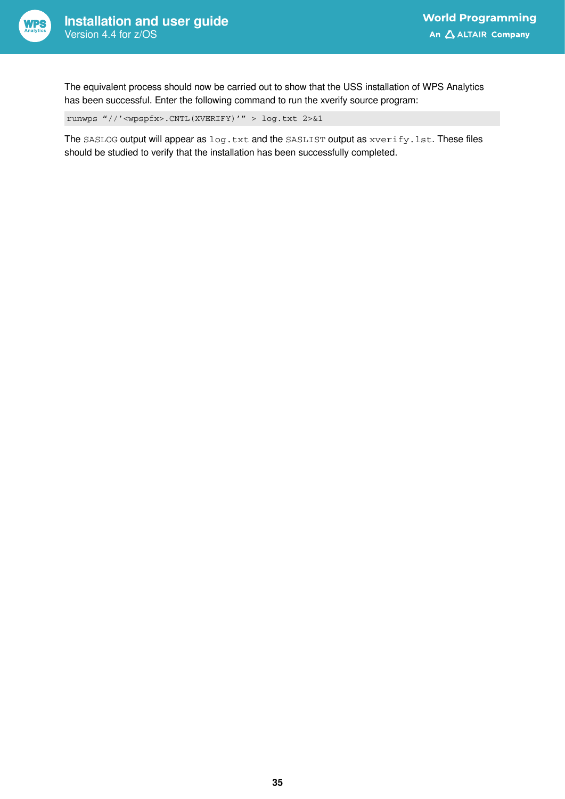

The equivalent process should now be carried out to show that the USS installation of WPS Analytics has been successful. Enter the following command to run the xverify source program:

runwps "//'<wpspfx>.CNTL(XVERIFY)'" > log.txt 2>&1

The SASLOG output will appear as log.txt and the SASLIST output as xverify.lst. These files should be studied to verify that the installation has been successfully completed.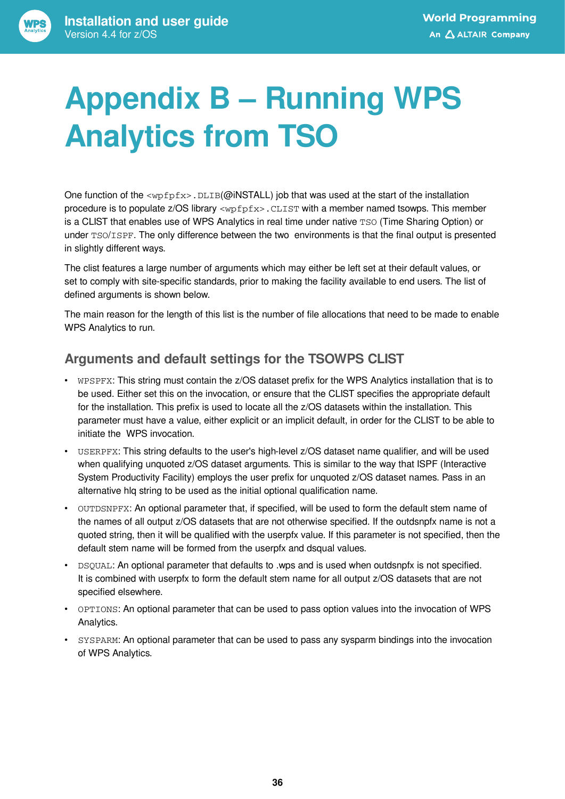# <span id="page-35-0"></span>**Appendix B – Running WPS Analytics from TSO**

One function of the  $<sub>wpfpx</sub>$ . DLIB(@iNSTALL) job that was used at the start of the installation</sub> procedure is to populate  $z/OS$  library  $\langle wpfpfx\rangle$ . CLIST with a member named tsowps. This member is a CLIST that enables use of WPS Analytics in real time under native TSO (Time Sharing Option) or under TSO/ISPF. The only difference between the two environments is that the final output is presented in slightly different ways.

The clist features a large number of arguments which may either be left set at their default values, or set to comply with site-specific standards, prior to making the facility available to end users. The list of defined arguments is shown below.

The main reason for the length of this list is the number of file allocations that need to be made to enable WPS Analytics to run.

### **Arguments and default settings for the TSOWPS CLIST**

- WPSPFX: This string must contain the z/OS dataset prefix for the WPS Analytics installation that is to be used. Either set this on the invocation, or ensure that the CLIST specifies the appropriate default for the installation. This prefix is used to locate all the z/OS datasets within the installation. This parameter must have a value, either explicit or an implicit default, in order for the CLIST to be able to initiate the WPS invocation.
- USERPFX: This string defaults to the user's high-level z/OS dataset name qualifier, and will be used when qualifying unquoted z/OS dataset arguments. This is similar to the way that ISPF (Interactive System Productivity Facility) employs the user prefix for unquoted z/OS dataset names. Pass in an alternative hlq string to be used as the initial optional qualification name.
- OUTDSNPFX: An optional parameter that, if specified, will be used to form the default stem name of the names of all output z/OS datasets that are not otherwise specified. If the outdsnpfx name is not a quoted string, then it will be qualified with the userpfx value. If this parameter is not specified, then the default stem name will be formed from the userpfx and dsqual values.
- DSQUAL: An optional parameter that defaults to .wps and is used when outdsnpfx is not specified. It is combined with userpfx to form the default stem name for all output z/OS datasets that are not specified elsewhere.
- OPTIONS: An optional parameter that can be used to pass option values into the invocation of WPS Analytics.
- SYSPARM: An optional parameter that can be used to pass any sysparm bindings into the invocation of WPS Analytics.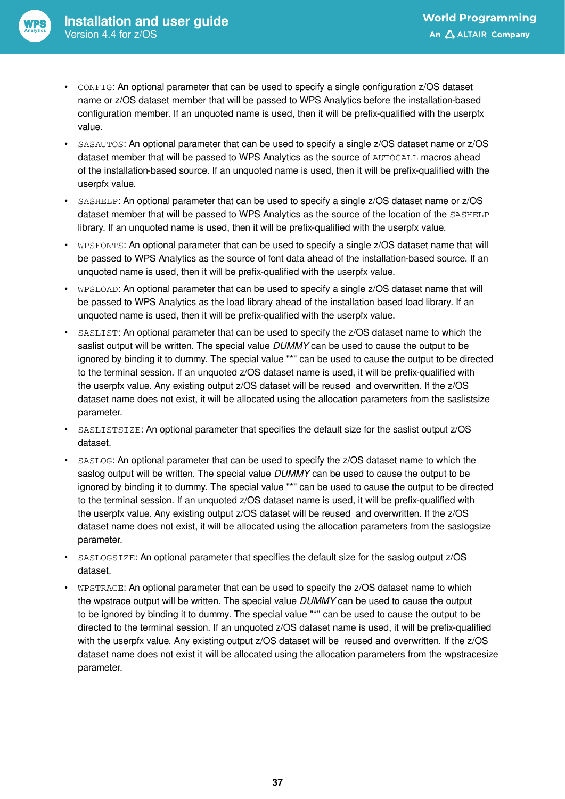- CONFIG: An optional parameter that can be used to specify a single configuration z/OS dataset name or z/OS dataset member that will be passed to WPS Analytics before the installation-based configuration member. If an unquoted name is used, then it will be prefix-qualified with the userpfx value.
- SASAUTOS: An optional parameter that can be used to specify a single z/OS dataset name or z/OS dataset member that will be passed to WPS Analytics as the source of AUTOCALL macros ahead of the installation-based source. If an unquoted name is used, then it will be prefix-qualified with the userpfx value.
- SASHELP: An optional parameter that can be used to specify a single z/OS dataset name or z/OS dataset member that will be passed to WPS Analytics as the source of the location of the SASHELP library. If an unquoted name is used, then it will be prefix-qualified with the userpfx value.
- WPSFONTS: An optional parameter that can be used to specify a single z/OS dataset name that will be passed to WPS Analytics as the source of font data ahead of the installation-based source. If an unquoted name is used, then it will be prefix-qualified with the userpfx value.
- WPSLOAD: An optional parameter that can be used to specify a single z/OS dataset name that will be passed to WPS Analytics as the load library ahead of the installation based load library. If an unquoted name is used, then it will be prefix-qualified with the userpfx value.
- SASLIST: An optional parameter that can be used to specify the z/OS dataset name to which the saslist output will be written. The special value *DUMMY* can be used to cause the output to be ignored by binding it to dummy. The special value "\*" can be used to cause the output to be directed to the terminal session. If an unquoted z/OS dataset name is used, it will be prefix-qualified with the userpfx value. Any existing output z/OS dataset will be reused and overwritten. If the z/OS dataset name does not exist, it will be allocated using the allocation parameters from the saslistsize parameter.
- SASLISTSIZE: An optional parameter that specifies the default size for the saslist output z/OS dataset.
- SASLOG: An optional parameter that can be used to specify the z/OS dataset name to which the saslog output will be written. The special value *DUMMY* can be used to cause the output to be ignored by binding it to dummy. The special value "\*" can be used to cause the output to be directed to the terminal session. If an unquoted z/OS dataset name is used, it will be prefix-qualified with the userpfx value. Any existing output z/OS dataset will be reused and overwritten. If the z/OS dataset name does not exist, it will be allocated using the allocation parameters from the saslogsize parameter.
- SASLOGSIZE: An optional parameter that specifies the default size for the saslog output z/OS dataset.
- WPSTRACE: An optional parameter that can be used to specify the z/OS dataset name to which the wpstrace output will be written. The special value *DUMMY* can be used to cause the output to be ignored by binding it to dummy. The special value "\*" can be used to cause the output to be directed to the terminal session. If an unquoted z/OS dataset name is used, it will be prefix-qualified with the userpfx value. Any existing output z/OS dataset will be reused and overwritten. If the z/OS dataset name does not exist it will be allocated using the allocation parameters from the wpstracesize parameter.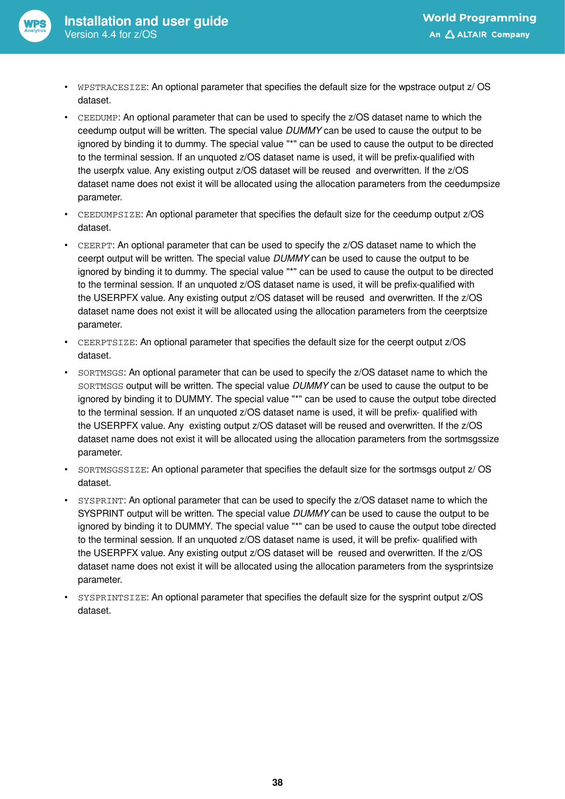

- WPSTRACESIZE: An optional parameter that specifies the default size for the wpstrace output z/ OS dataset.
- CEEDUMP: An optional parameter that can be used to specify the z/OS dataset name to which the ceedump output will be written. The special value *DUMMY* can be used to cause the output to be ignored by binding it to dummy. The special value "\*" can be used to cause the output to be directed to the terminal session. If an unquoted z/OS dataset name is used, it will be prefix-qualified with the userpfx value. Any existing output z/OS dataset will be reused and overwritten. If the z/OS dataset name does not exist it will be allocated using the allocation parameters from the ceedumpsize parameter.
- CEEDUMPSIZE: An optional parameter that specifies the default size for the ceedump output z/OS dataset.
- CEERPT: An optional parameter that can be used to specify the z/OS dataset name to which the ceerpt output will be written. The special value *DUMMY* can be used to cause the output to be ignored by binding it to dummy. The special value "\*" can be used to cause the output to be directed to the terminal session. If an unquoted z/OS dataset name is used, it will be prefix-qualified with the USERPFX value. Any existing output z/OS dataset will be reused and overwritten. If the z/OS dataset name does not exist it will be allocated using the allocation parameters from the ceerptsize parameter.
- CEERPTSIZE: An optional parameter that specifies the default size for the ceerpt output z/OS dataset.
- SORTMSGS: An optional parameter that can be used to specify the z/OS dataset name to which the SORTMSGS output will be written. The special value *DUMMY* can be used to cause the output to be ignored by binding it to DUMMY. The special value "\*" can be used to cause the output tobe directed to the terminal session. If an unquoted z/OS dataset name is used, it will be prefix- qualified with the USERPFX value. Any existing output z/OS dataset will be reused and overwritten. If the z/OS dataset name does not exist it will be allocated using the allocation parameters from the sortmsgssize parameter.
- SORTMSGSSIZE: An optional parameter that specifies the default size for the sortmsgs output z/ OS dataset.
- SYSPRINT: An optional parameter that can be used to specify the z/OS dataset name to which the SYSPRINT output will be written. The special value *DUMMY* can be used to cause the output to be ignored by binding it to DUMMY. The special value "\*" can be used to cause the output tobe directed to the terminal session. If an unquoted z/OS dataset name is used, it will be prefix- qualified with the USERPFX value. Any existing output z/OS dataset will be reused and overwritten. If the z/OS dataset name does not exist it will be allocated using the allocation parameters from the sysprintsize parameter.
- SYSPRINTSIZE: An optional parameter that specifies the default size for the sysprint output z/OS dataset.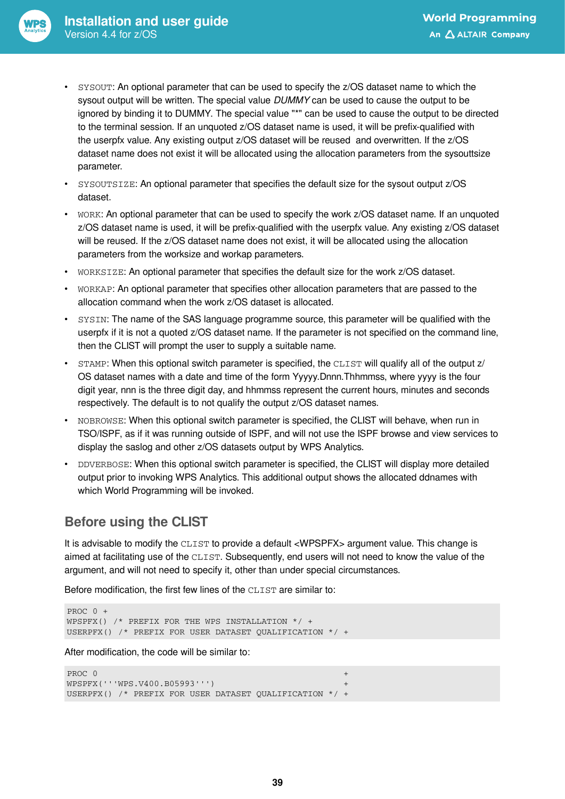- SYSOUT: An optional parameter that can be used to specify the z/OS dataset name to which the sysout output will be written. The special value *DUMMY* can be used to cause the output to be ignored by binding it to DUMMY. The special value "\*" can be used to cause the output to be directed to the terminal session. If an unquoted z/OS dataset name is used, it will be prefix-qualified with the userpfx value. Any existing output z/OS dataset will be reused and overwritten. If the z/OS dataset name does not exist it will be allocated using the allocation parameters from the sysouttsize parameter.
- SYSOUTSIZE: An optional parameter that specifies the default size for the sysout output z/OS dataset.
- WORK: An optional parameter that can be used to specify the work z/OS dataset name. If an unquoted z/OS dataset name is used, it will be prefix-qualified with the userpfx value. Any existing z/OS dataset will be reused. If the z/OS dataset name does not exist, it will be allocated using the allocation parameters from the worksize and workap parameters.
- WORKSIZE: An optional parameter that specifies the default size for the work z/OS dataset.
- WORKAP: An optional parameter that specifies other allocation parameters that are passed to the allocation command when the work z/OS dataset is allocated.
- SYSIN: The name of the SAS language programme source, this parameter will be qualified with the userpfx if it is not a quoted z/OS dataset name. If the parameter is not specified on the command line, then the CLIST will prompt the user to supply a suitable name.
- STAMP: When this optional switch parameter is specified, the CLIST will qualify all of the output z/ OS dataset names with a date and time of the form Yyyyy.Dnnn.Thhmmss, where yyyy is the four digit year, nnn is the three digit day, and hhmmss represent the current hours, minutes and seconds respectively. The default is to not qualify the output z/OS dataset names.
- NOBROWSE: When this optional switch parameter is specified, the CLIST will behave, when run in TSO/ISPF, as if it was running outside of ISPF, and will not use the ISPF browse and view services to display the saslog and other z/OS datasets output by WPS Analytics.
- DDVERBOSE: When this optional switch parameter is specified, the CLIST will display more detailed output prior to invoking WPS Analytics. This additional output shows the allocated ddnames with which World Programming will be invoked.

#### **Before using the CLIST**

It is advisable to modify the CLIST to provide a default <WPSPFX> argument value. This change is aimed at facilitating use of the CLIST. Subsequently, end users will not need to know the value of the argument, and will not need to specify it, other than under special circumstances.

Before modification, the first few lines of the CLIST are similar to:

```
PROC 0 +
WPSPFX() /* PREFIX FOR THE WPS INSTALLATION */ +
USERPFX() /* PREFIX FOR USER DATASET QUALIFICATION */ +
```
After modification, the code will be similar to:

```
PROC 0 +
WPSPFX('''WPS.V400.B05993''') +
USERPFX() /* PREFIX FOR USER DATASET QUALIFICATION */ +
```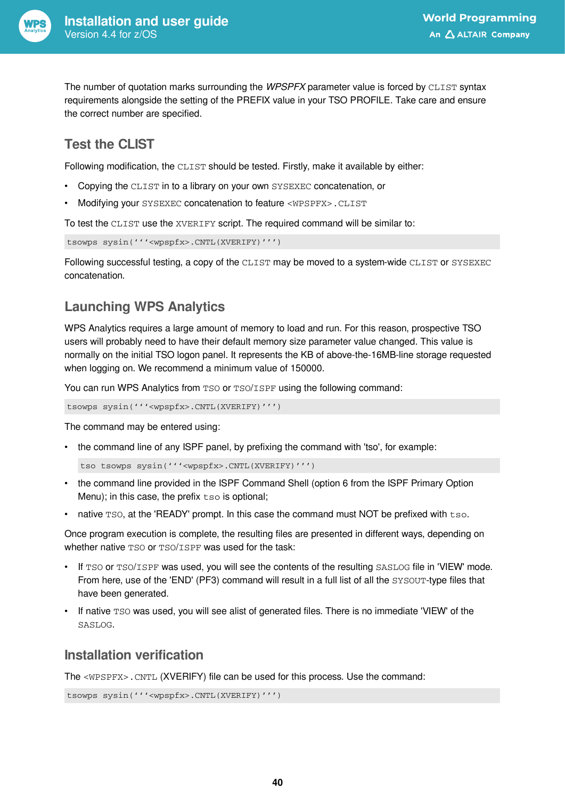

The number of quotation marks surrounding the *WPSPFX* parameter value is forced by CLIST syntax requirements alongside the setting of the PREFIX value in your TSO PROFILE. Take care and ensure the correct number are specified.

### **Test the CLIST**

Following modification, the CLIST should be tested. Firstly, make it available by either:

- Copying the CLIST in to a library on your own SYSEXEC concatenation, or
- Modifying your SYSEXEC concatenation to feature <WPSPFX>.CLIST

To test the CLIST use the XVERIFY script. The required command will be similar to:

tsowps sysin('''<wpspfx>.CNTL(XVERIFY)''')

Following successful testing, a copy of the CLIST may be moved to a system-wide CLIST or SYSEXEC concatenation.

### **Launching WPS Analytics**

WPS Analytics requires a large amount of memory to load and run. For this reason, prospective TSO users will probably need to have their default memory size parameter value changed. This value is normally on the initial TSO logon panel. It represents the KB of above-the-16MB-line storage requested when logging on. We recommend a minimum value of 150000.

You can run WPS Analytics from TSO or TSO/ISPF using the following command:

tsowps sysin('''<wpspfx>.CNTL(XVERIFY)''')

The command may be entered using:

• the command line of any ISPF panel, by prefixing the command with 'tso', for example:

```
tso tsowps sysin('''<wpspfx>.CNTL(XVERIFY)''')
```
- the command line provided in the ISPF Command Shell (option 6 from the ISPF Primary Option Menu); in this case, the prefix  $t \text{ so}$  is optional;
- native  $TSO$ , at the 'READY' prompt. In this case the command must NOT be prefixed with  $t_{\text{SO}}$ .

Once program execution is complete, the resulting files are presented in different ways, depending on whether native TSO or TSO/ISPF was used for the task:

- If TSO or TSO/ISPF was used, you will see the contents of the resulting SASLOG file in 'VIEW' mode. From here, use of the 'END' (PF3) command will result in a full list of all the SYSOUT-type files that have been generated.
- If native TSO was used, you will see alist of generated files. There is no immediate 'VIEW' of the SASLOG.

#### **Installation verification**

The <WPSPFX>.CNTL (XVERIFY) file can be used for this process. Use the command:

```
tsowps sysin('''<wpspfx>.CNTL(XVERIFY)''')
```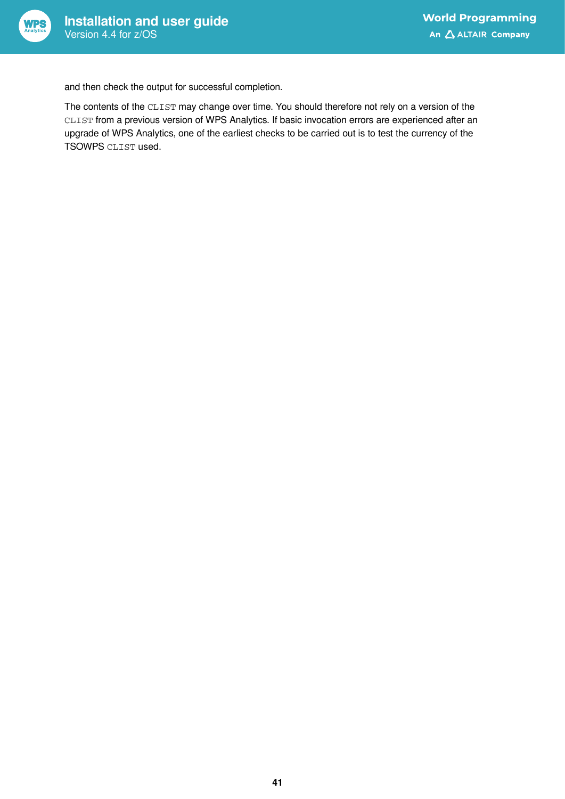

and then check the output for successful completion.

The contents of the CLIST may change over time. You should therefore not rely on a version of the CLIST from a previous version of WPS Analytics. If basic invocation errors are experienced after an upgrade of WPS Analytics, one of the earliest checks to be carried out is to test the currency of the TSOWPS CLIST used.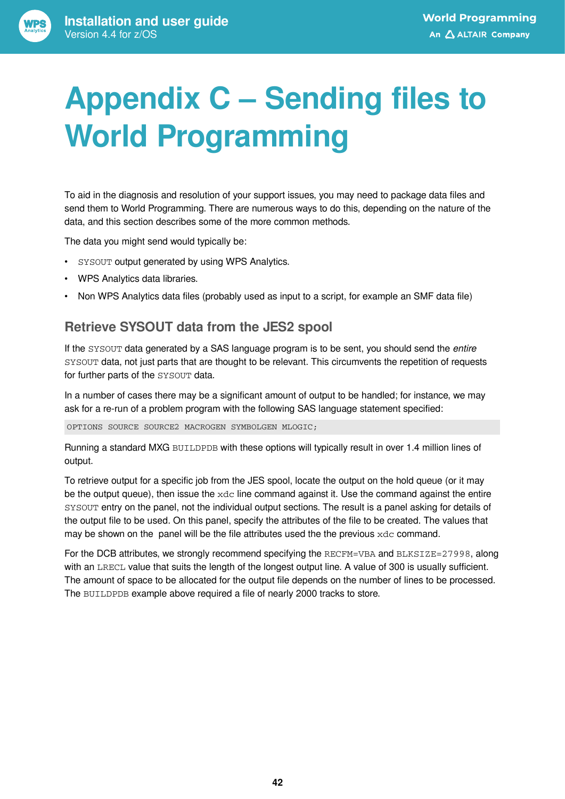<span id="page-41-0"></span>

To aid in the diagnosis and resolution of your support issues, you may need to package data files and send them to World Programming. There are numerous ways to do this, depending on the nature of the data, and this section describes some of the more common methods.

The data you might send would typically be:

- SYSOUT output generated by using WPS Analytics.
- WPS Analytics data libraries.
- Non WPS Analytics data files (probably used as input to a script, for example an SMF data file)

#### **Retrieve SYSOUT data from the JES2 spool**

If the SYSOUT data generated by a SAS language program is to be sent, you should send the *entire* SYSOUT data, not just parts that are thought to be relevant. This circumvents the repetition of requests for further parts of the SYSOUT data.

In a number of cases there may be a significant amount of output to be handled; for instance, we may ask for a re-run of a problem program with the following SAS language statement specified:

OPTIONS SOURCE SOURCE2 MACROGEN SYMBOLGEN MLOGIC;

Running a standard MXG BUILDPDB with these options will typically result in over 1.4 million lines of output.

To retrieve output for a specific job from the JES spool, locate the output on the hold queue (or it may be the output queue), then issue the xdc line command against it. Use the command against the entire SYSOUT entry on the panel, not the individual output sections. The result is a panel asking for details of the output file to be used. On this panel, specify the attributes of the file to be created. The values that may be shown on the panel will be the file attributes used the the previous xdc command.

For the DCB attributes, we strongly recommend specifying the RECFM=VBA and BLKSIZE=27998, along with an LRECL value that suits the length of the longest output line. A value of 300 is usually sufficient. The amount of space to be allocated for the output file depends on the number of lines to be processed. The BUILDPDB example above required a file of nearly 2000 tracks to store.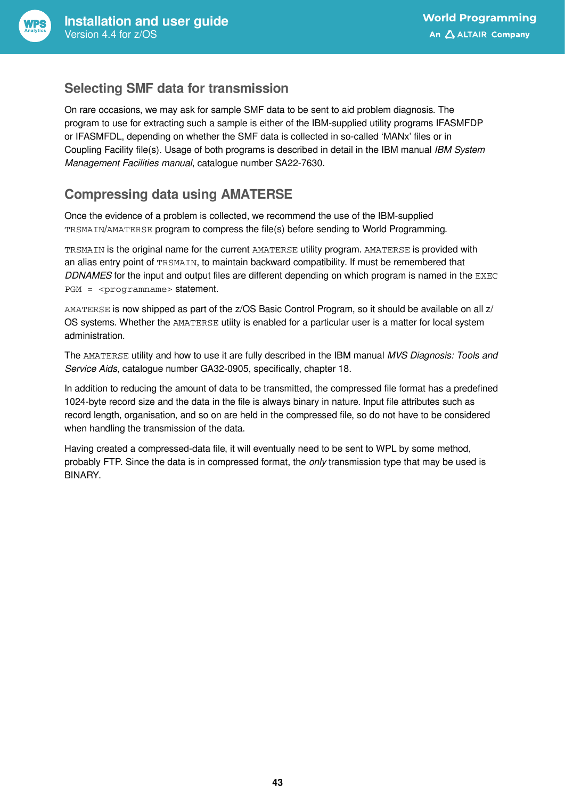

#### **Selecting SMF data for transmission**

On rare occasions, we may ask for sample SMF data to be sent to aid problem diagnosis. The program to use for extracting such a sample is either of the IBM-supplied utility programs IFASMFDP or IFASMFDL, depending on whether the SMF data is collected in so-called 'MANx' files or in Coupling Facility file(s). Usage of both programs is described in detail in the IBM manual *IBM System Management Facilities manual*, catalogue number SA22-7630.

### **Compressing data using AMATERSE**

Once the evidence of a problem is collected, we recommend the use of the IBM-supplied TRSMAIN/AMATERSE program to compress the file(s) before sending to World Programming.

TRSMAIN is the original name for the current AMATERSE utility program. AMATERSE is provided with an alias entry point of TRSMAIN, to maintain backward compatibility. If must be remembered that *DDNAMES* for the input and output files are different depending on which program is named in the EXEC PGM = <programname> statement.

AMATERSE is now shipped as part of the z/OS Basic Control Program, so it should be available on all z/ OS systems. Whether the AMATERSE utiity is enabled for a particular user is a matter for local system administration.

The AMATERSE utility and how to use it are fully described in the IBM manual *MVS Diagnosis: Tools and Service Aids*, catalogue number GA32-0905, specifically, chapter 18.

In addition to reducing the amount of data to be transmitted, the compressed file format has a predefined 1024-byte record size and the data in the file is always binary in nature. Input file attributes such as record length, organisation, and so on are held in the compressed file, so do not have to be considered when handling the transmission of the data.

Having created a compressed-data file, it will eventually need to be sent to WPL by some method, probably FTP. Since the data is in compressed format, the *only* transmission type that may be used is BINARY.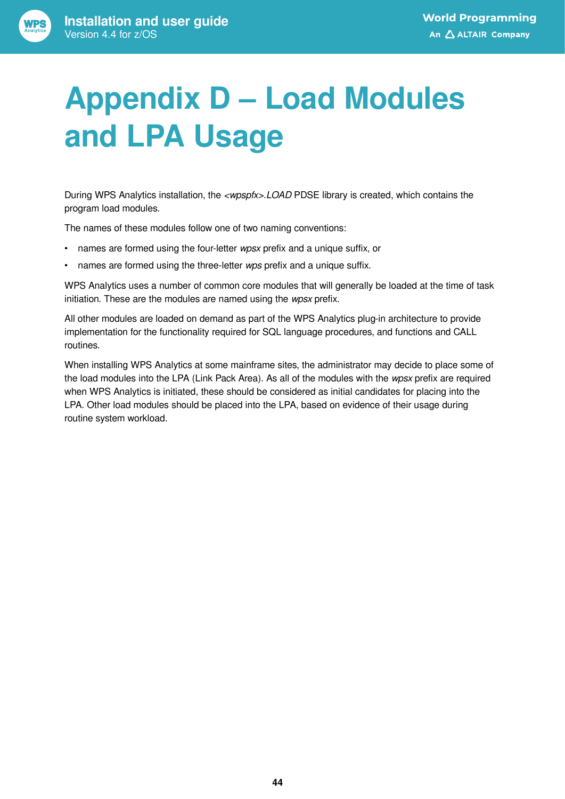# <span id="page-43-0"></span>**Appendix D – Load Modules and LPA Usage**

During WPS Analytics installation, the *<wpspfx>.LOAD* PDSE library is created, which contains the program load modules.

The names of these modules follow one of two naming conventions:

- names are formed using the four-letter *wpsx* prefix and a unique suffix, or
- names are formed using the three-letter *wps* prefix and a unique suffix.

WPS Analytics uses a number of common core modules that will generally be loaded at the time of task initiation. These are the modules are named using the *wpsx* prefix.

All other modules are loaded on demand as part of the WPS Analytics plug-in architecture to provide implementation for the functionality required for SQL language procedures, and functions and CALL routines.

When installing WPS Analytics at some mainframe sites, the administrator may decide to place some of the load modules into the LPA (Link Pack Area). As all of the modules with the *wpsx* prefix are required when WPS Analytics is initiated, these should be considered as initial candidates for placing into the LPA. Other load modules should be placed into the LPA, based on evidence of their usage during routine system workload.